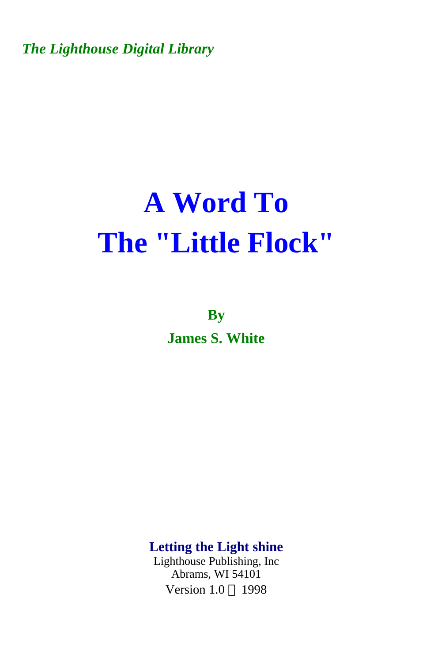*The Lighthouse Digital Library* 

# **A Word To The "Little Flock"**

**By James S. White** 

**Letting the Light shine** 

Lighthouse Publishing, Inc Abrams, WI 54101 Version  $1.0 \odot 1998$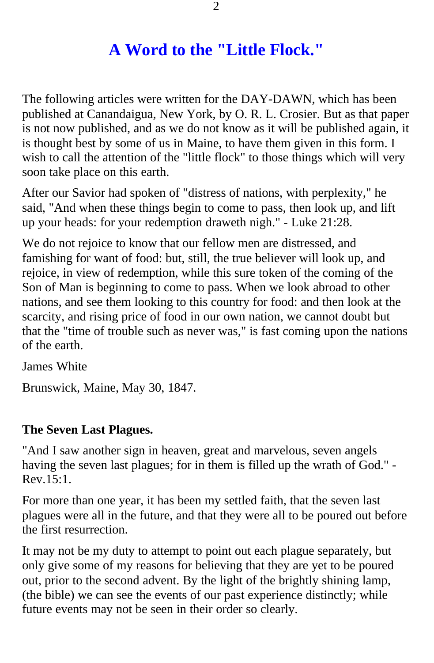# **A Word to the "Little Flock."**

The following articles were written for the DAY-DAWN, which has been published at Canandaigua, New York, by O. R. L. Crosier. But as that paper is not now published, and as we do not know as it will be published again, it is thought best by some of us in Maine, to have them given in this form. I wish to call the attention of the "little flock" to those things which will very soon take place on this earth.

After our Savior had spoken of "distress of nations, with perplexity," he said, "And when these things begin to come to pass, then look up, and lift up your heads: for your redemption draweth nigh." - Luke 21:28.

We do not rejoice to know that our fellow men are distressed, and famishing for want of food: but, still, the true believer will look up, and rejoice, in view of redemption, while this sure token of the coming of the Son of Man is beginning to come to pass. When we look abroad to other nations, and see them looking to this country for food: and then look at the scarcity, and rising price of food in our own nation, we cannot doubt but that the "time of trouble such as never was," is fast coming upon the nations of the earth.

James White

Brunswick, Maine, May 30, 1847.

#### **The Seven Last Plagues.**

"And I saw another sign in heaven, great and marvelous, seven angels having the seven last plagues; for in them is filled up the wrath of God." - Rev.15:1.

For more than one year, it has been my settled faith, that the seven last plagues were all in the future, and that they were all to be poured out before the first resurrection.

It may not be my duty to attempt to point out each plague separately, but only give some of my reasons for believing that they are yet to be poured out, prior to the second advent. By the light of the brightly shining lamp, (the bible) we can see the events of our past experience distinctly; while future events may not be seen in their order so clearly.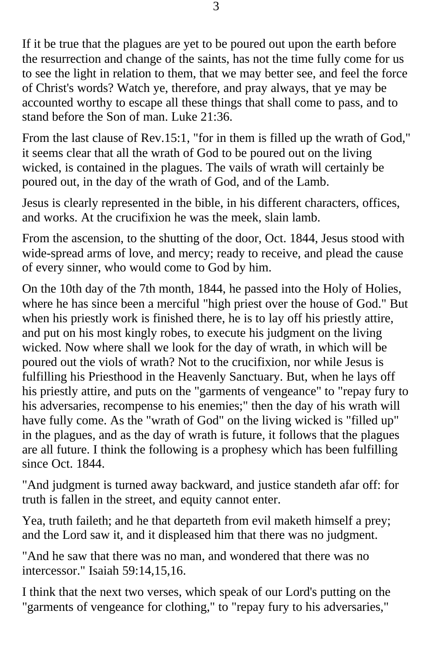If it be true that the plagues are yet to be poured out upon the earth before the resurrection and change of the saints, has not the time fully come for us to see the light in relation to them, that we may better see, and feel the force of Christ's words? Watch ye, therefore, and pray always, that ye may be accounted worthy to escape all these things that shall come to pass, and to stand before the Son of man. Luke 21:36.

From the last clause of Rev.15:1, "for in them is filled up the wrath of God," it seems clear that all the wrath of God to be poured out on the living wicked, is contained in the plagues. The vails of wrath will certainly be poured out, in the day of the wrath of God, and of the Lamb.

Jesus is clearly represented in the bible, in his different characters, offices, and works. At the crucifixion he was the meek, slain lamb.

From the ascension, to the shutting of the door, Oct. 1844, Jesus stood with wide-spread arms of love, and mercy; ready to receive, and plead the cause of every sinner, who would come to God by him.

On the 10th day of the 7th month, 1844, he passed into the Holy of Holies, where he has since been a merciful "high priest over the house of God." But when his priestly work is finished there, he is to lay off his priestly attire, and put on his most kingly robes, to execute his judgment on the living wicked. Now where shall we look for the day of wrath, in which will be poured out the viols of wrath? Not to the crucifixion, nor while Jesus is fulfilling his Priesthood in the Heavenly Sanctuary. But, when he lays off his priestly attire, and puts on the "garments of vengeance" to "repay fury to his adversaries, recompense to his enemies;" then the day of his wrath will have fully come. As the "wrath of God" on the living wicked is "filled up" in the plagues, and as the day of wrath is future, it follows that the plagues are all future. I think the following is a prophesy which has been fulfilling since Oct. 1844.

"And judgment is turned away backward, and justice standeth afar off: for truth is fallen in the street, and equity cannot enter.

Yea, truth faileth; and he that departeth from evil maketh himself a prey; and the Lord saw it, and it displeased him that there was no judgment.

"And he saw that there was no man, and wondered that there was no intercessor." Isaiah 59:14,15,16.

I think that the next two verses, which speak of our Lord's putting on the "garments of vengeance for clothing," to "repay fury to his adversaries,"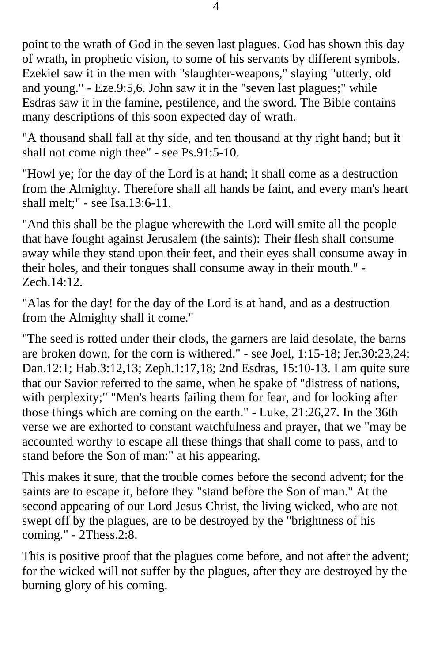point to the wrath of God in the seven last plagues. God has shown this day of wrath, in prophetic vision, to some of his servants by different symbols. Ezekiel saw it in the men with "slaughter-weapons," slaying "utterly, old and young." - Eze.9:5,6. John saw it in the "seven last plagues;" while Esdras saw it in the famine, pestilence, and the sword. The Bible contains many descriptions of this soon expected day of wrath.

"A thousand shall fall at thy side, and ten thousand at thy right hand; but it shall not come nigh thee" - see Ps.91:5-10.

"Howl ye; for the day of the Lord is at hand; it shall come as a destruction from the Almighty. Therefore shall all hands be faint, and every man's heart shall melt;" - see Isa.13:6-11.

"And this shall be the plague wherewith the Lord will smite all the people that have fought against Jerusalem (the saints): Their flesh shall consume away while they stand upon their feet, and their eyes shall consume away in their holes, and their tongues shall consume away in their mouth." - Zech.14:12.

"Alas for the day! for the day of the Lord is at hand, and as a destruction from the Almighty shall it come."

"The seed is rotted under their clods, the garners are laid desolate, the barns are broken down, for the corn is withered." - see Joel, 1:15-18; Jer.30:23,24; Dan.12:1; Hab.3:12,13; Zeph.1:17,18; 2nd Esdras, 15:10-13. I am quite sure that our Savior referred to the same, when he spake of "distress of nations, with perplexity;" "Men's hearts failing them for fear, and for looking after those things which are coming on the earth." - Luke, 21:26,27. In the 36th verse we are exhorted to constant watchfulness and prayer, that we "may be accounted worthy to escape all these things that shall come to pass, and to stand before the Son of man:" at his appearing.

This makes it sure, that the trouble comes before the second advent; for the saints are to escape it, before they "stand before the Son of man." At the second appearing of our Lord Jesus Christ, the living wicked, who are not swept off by the plagues, are to be destroyed by the "brightness of his coming." - 2Thess.2:8.

This is positive proof that the plagues come before, and not after the advent; for the wicked will not suffer by the plagues, after they are destroyed by the burning glory of his coming.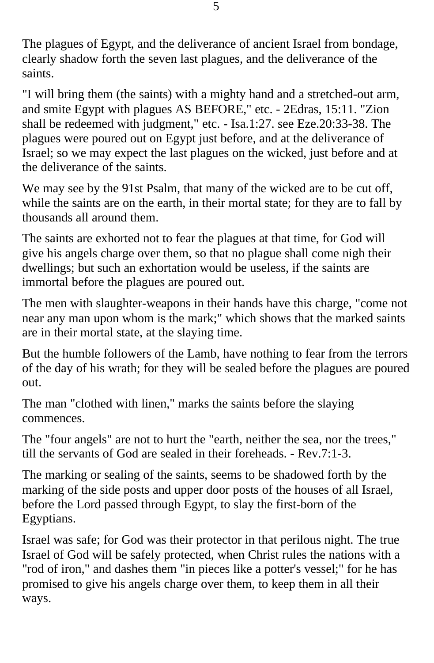The plagues of Egypt, and the deliverance of ancient Israel from bondage, clearly shadow forth the seven last plagues, and the deliverance of the saints.

"I will bring them (the saints) with a mighty hand and a stretched-out arm, and smite Egypt with plagues AS BEFORE," etc. - 2Edras, 15:11. "Zion shall be redeemed with judgment," etc. - Isa.1:27. see Eze.20:33-38. The plagues were poured out on Egypt just before, and at the deliverance of Israel; so we may expect the last plagues on the wicked, just before and at the deliverance of the saints.

We may see by the 91st Psalm, that many of the wicked are to be cut off, while the saints are on the earth, in their mortal state; for they are to fall by thousands all around them.

The saints are exhorted not to fear the plagues at that time, for God will give his angels charge over them, so that no plague shall come nigh their dwellings; but such an exhortation would be useless, if the saints are immortal before the plagues are poured out.

The men with slaughter-weapons in their hands have this charge, "come not near any man upon whom is the mark;" which shows that the marked saints are in their mortal state, at the slaying time.

But the humble followers of the Lamb, have nothing to fear from the terrors of the day of his wrath; for they will be sealed before the plagues are poured out.

The man "clothed with linen," marks the saints before the slaying commences.

The "four angels" are not to hurt the "earth, neither the sea, nor the trees," till the servants of God are sealed in their foreheads. - Rev.7:1-3.

The marking or sealing of the saints, seems to be shadowed forth by the marking of the side posts and upper door posts of the houses of all Israel, before the Lord passed through Egypt, to slay the first-born of the Egyptians.

Israel was safe; for God was their protector in that perilous night. The true Israel of God will be safely protected, when Christ rules the nations with a "rod of iron," and dashes them "in pieces like a potter's vessel;" for he has promised to give his angels charge over them, to keep them in all their ways.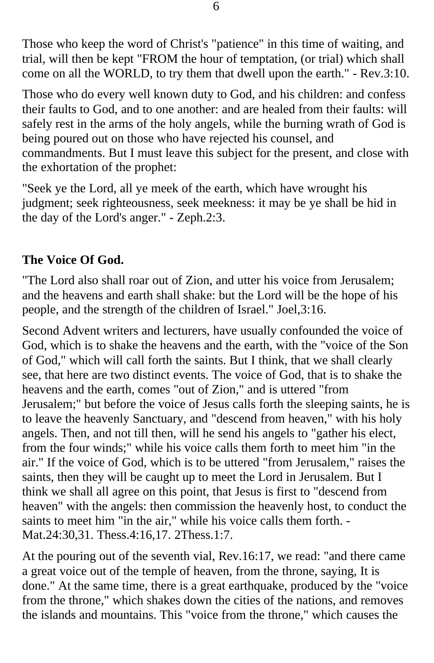Those who keep the word of Christ's "patience" in this time of waiting, and trial, will then be kept "FROM the hour of temptation, (or trial) which shall come on all the WORLD, to try them that dwell upon the earth." - Rev.3:10.

Those who do every well known duty to God, and his children: and confess their faults to God, and to one another: and are healed from their faults: will safely rest in the arms of the holy angels, while the burning wrath of God is being poured out on those who have rejected his counsel, and commandments. But I must leave this subject for the present, and close with the exhortation of the prophet:

"Seek ye the Lord, all ye meek of the earth, which have wrought his judgment; seek righteousness, seek meekness: it may be ye shall be hid in the day of the Lord's anger." - Zeph.2:3.

## **The Voice Of God.**

"The Lord also shall roar out of Zion, and utter his voice from Jerusalem; and the heavens and earth shall shake: but the Lord will be the hope of his people, and the strength of the children of Israel." Joel,3:16.

Second Advent writers and lecturers, have usually confounded the voice of God, which is to shake the heavens and the earth, with the "voice of the Son of God," which will call forth the saints. But I think, that we shall clearly see, that here are two distinct events. The voice of God, that is to shake the heavens and the earth, comes "out of Zion," and is uttered "from Jerusalem;" but before the voice of Jesus calls forth the sleeping saints, he is to leave the heavenly Sanctuary, and "descend from heaven," with his holy angels. Then, and not till then, will he send his angels to "gather his elect, from the four winds;" while his voice calls them forth to meet him "in the air." If the voice of God, which is to be uttered "from Jerusalem," raises the saints, then they will be caught up to meet the Lord in Jerusalem. But I think we shall all agree on this point, that Jesus is first to "descend from heaven" with the angels: then commission the heavenly host, to conduct the saints to meet him "in the air," while his voice calls them forth. - Mat.24:30,31. Thess.4:16,17. 2Thess.1:7.

At the pouring out of the seventh vial, Rev.16:17, we read: "and there came a great voice out of the temple of heaven, from the throne, saying, It is done." At the same time, there is a great earthquake, produced by the "voice from the throne," which shakes down the cities of the nations, and removes the islands and mountains. This "voice from the throne," which causes the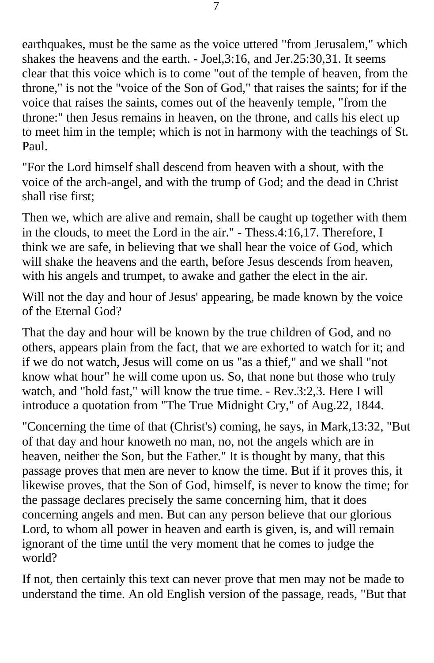earthquakes, must be the same as the voice uttered "from Jerusalem," which shakes the heavens and the earth. - Joel,3:16, and Jer.25:30,31. It seems clear that this voice which is to come "out of the temple of heaven, from the throne," is not the "voice of the Son of God," that raises the saints; for if the voice that raises the saints, comes out of the heavenly temple, "from the throne:" then Jesus remains in heaven, on the throne, and calls his elect up to meet him in the temple; which is not in harmony with the teachings of St. Paul.

"For the Lord himself shall descend from heaven with a shout, with the voice of the arch-angel, and with the trump of God; and the dead in Christ shall rise first;

Then we, which are alive and remain, shall be caught up together with them in the clouds, to meet the Lord in the air." - Thess.4:16,17. Therefore, I think we are safe, in believing that we shall hear the voice of God, which will shake the heavens and the earth, before Jesus descends from heaven, with his angels and trumpet, to awake and gather the elect in the air.

Will not the day and hour of Jesus' appearing, be made known by the voice of the Eternal God?

That the day and hour will be known by the true children of God, and no others, appears plain from the fact, that we are exhorted to watch for it; and if we do not watch, Jesus will come on us "as a thief," and we shall "not know what hour" he will come upon us. So, that none but those who truly watch, and "hold fast," will know the true time. - Rev.3:2,3. Here I will introduce a quotation from "The True Midnight Cry," of Aug.22, 1844.

"Concerning the time of that (Christ's) coming, he says, in Mark,13:32, "But of that day and hour knoweth no man, no, not the angels which are in heaven, neither the Son, but the Father." It is thought by many, that this passage proves that men are never to know the time. But if it proves this, it likewise proves, that the Son of God, himself, is never to know the time; for the passage declares precisely the same concerning him, that it does concerning angels and men. But can any person believe that our glorious Lord, to whom all power in heaven and earth is given, is, and will remain ignorant of the time until the very moment that he comes to judge the world?

If not, then certainly this text can never prove that men may not be made to understand the time. An old English version of the passage, reads, "But that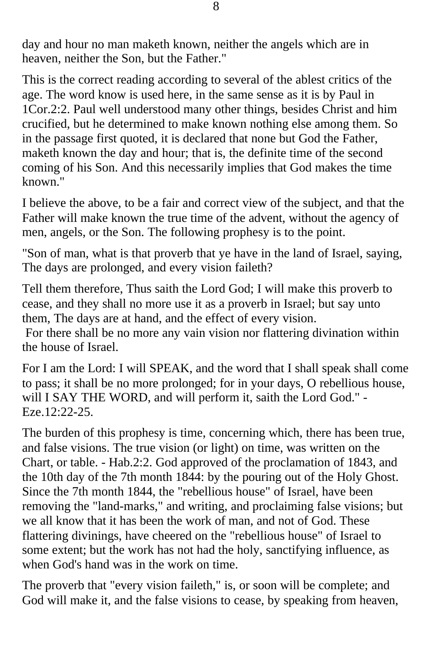day and hour no man maketh known, neither the angels which are in heaven, neither the Son, but the Father."

This is the correct reading according to several of the ablest critics of the age. The word know is used here, in the same sense as it is by Paul in 1Cor.2:2. Paul well understood many other things, besides Christ and him crucified, but he determined to make known nothing else among them. So in the passage first quoted, it is declared that none but God the Father, maketh known the day and hour; that is, the definite time of the second coming of his Son. And this necessarily implies that God makes the time known."

I believe the above, to be a fair and correct view of the subject, and that the Father will make known the true time of the advent, without the agency of men, angels, or the Son. The following prophesy is to the point.

"Son of man, what is that proverb that ye have in the land of Israel, saying, The days are prolonged, and every vision faileth?

Tell them therefore, Thus saith the Lord God; I will make this proverb to cease, and they shall no more use it as a proverb in Israel; but say unto them, The days are at hand, and the effect of every vision.

 For there shall be no more any vain vision nor flattering divination within the house of Israel.

For I am the Lord: I will SPEAK, and the word that I shall speak shall come to pass; it shall be no more prolonged; for in your days, O rebellious house, will I SAY THE WORD, and will perform it, saith the Lord God." - Eze.12:22-25.

The burden of this prophesy is time, concerning which, there has been true, and false visions. The true vision (or light) on time, was written on the Chart, or table. - Hab.2:2. God approved of the proclamation of 1843, and the 10th day of the 7th month 1844: by the pouring out of the Holy Ghost. Since the 7th month 1844, the "rebellious house" of Israel, have been removing the "land-marks," and writing, and proclaiming false visions; but we all know that it has been the work of man, and not of God. These flattering divinings, have cheered on the "rebellious house" of Israel to some extent; but the work has not had the holy, sanctifying influence, as when God's hand was in the work on time.

The proverb that "every vision faileth," is, or soon will be complete; and God will make it, and the false visions to cease, by speaking from heaven,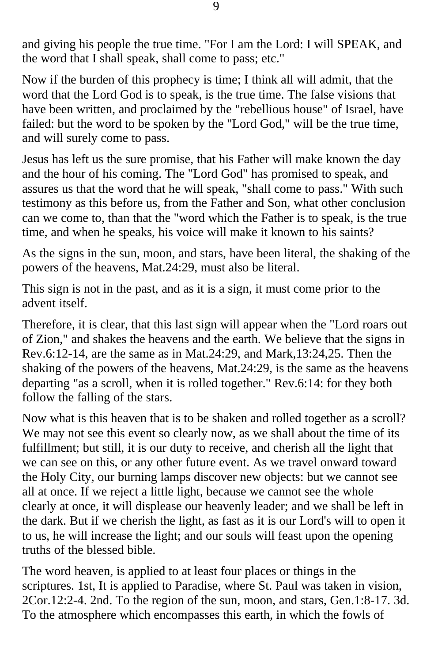and giving his people the true time. "For I am the Lord: I will SPEAK, and the word that I shall speak, shall come to pass; etc."

Now if the burden of this prophecy is time; I think all will admit, that the word that the Lord God is to speak, is the true time. The false visions that have been written, and proclaimed by the "rebellious house" of Israel, have failed: but the word to be spoken by the "Lord God," will be the true time, and will surely come to pass.

Jesus has left us the sure promise, that his Father will make known the day and the hour of his coming. The "Lord God" has promised to speak, and assures us that the word that he will speak, "shall come to pass." With such testimony as this before us, from the Father and Son, what other conclusion can we come to, than that the "word which the Father is to speak, is the true time, and when he speaks, his voice will make it known to his saints?

As the signs in the sun, moon, and stars, have been literal, the shaking of the powers of the heavens, Mat.24:29, must also be literal.

This sign is not in the past, and as it is a sign, it must come prior to the advent itself.

Therefore, it is clear, that this last sign will appear when the "Lord roars out of Zion," and shakes the heavens and the earth. We believe that the signs in Rev.6:12-14, are the same as in Mat.24:29, and Mark,13:24,25. Then the shaking of the powers of the heavens, Mat.24:29, is the same as the heavens departing "as a scroll, when it is rolled together." Rev.6:14: for they both follow the falling of the stars.

Now what is this heaven that is to be shaken and rolled together as a scroll? We may not see this event so clearly now, as we shall about the time of its fulfillment; but still, it is our duty to receive, and cherish all the light that we can see on this, or any other future event. As we travel onward toward the Holy City, our burning lamps discover new objects: but we cannot see all at once. If we reject a little light, because we cannot see the whole clearly at once, it will displease our heavenly leader; and we shall be left in the dark. But if we cherish the light, as fast as it is our Lord's will to open it to us, he will increase the light; and our souls will feast upon the opening truths of the blessed bible.

The word heaven, is applied to at least four places or things in the scriptures. 1st, It is applied to Paradise, where St. Paul was taken in vision, 2Cor.12:2-4. 2nd. To the region of the sun, moon, and stars, Gen.1:8-17. 3d. To the atmosphere which encompasses this earth, in which the fowls of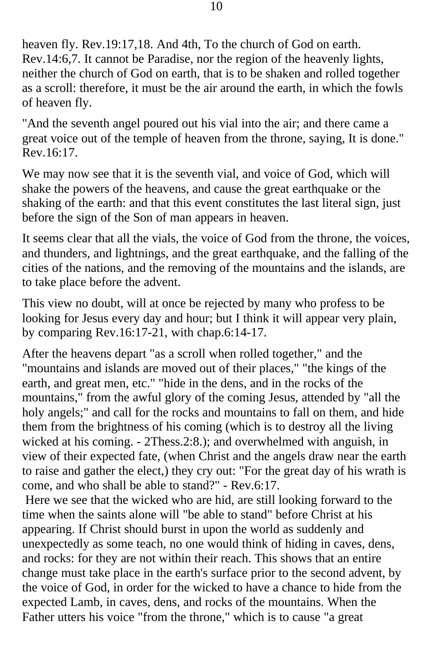heaven fly. Rev.19:17,18. And 4th, To the church of God on earth. Rev.14:6,7. It cannot be Paradise, nor the region of the heavenly lights, neither the church of God on earth, that is to be shaken and rolled together as a scroll: therefore, it must be the air around the earth, in which the fowls of heaven fly.

"And the seventh angel poured out his vial into the air; and there came a great voice out of the temple of heaven from the throne, saying, It is done." Rev.16:17.

We may now see that it is the seventh vial, and voice of God, which will shake the powers of the heavens, and cause the great earthquake or the shaking of the earth: and that this event constitutes the last literal sign, just before the sign of the Son of man appears in heaven.

It seems clear that all the vials, the voice of God from the throne, the voices, and thunders, and lightnings, and the great earthquake, and the falling of the cities of the nations, and the removing of the mountains and the islands, are to take place before the advent.

This view no doubt, will at once be rejected by many who profess to be looking for Jesus every day and hour; but I think it will appear very plain, by comparing Rev.16:17-21, with chap.6:14-17.

After the heavens depart "as a scroll when rolled together," and the "mountains and islands are moved out of their places," "the kings of the earth, and great men, etc." "hide in the dens, and in the rocks of the mountains," from the awful glory of the coming Jesus, attended by "all the holy angels;" and call for the rocks and mountains to fall on them, and hide them from the brightness of his coming (which is to destroy all the living wicked at his coming. - 2Thess.2:8.); and overwhelmed with anguish, in view of their expected fate, (when Christ and the angels draw near the earth to raise and gather the elect,) they cry out: "For the great day of his wrath is come, and who shall be able to stand?" - Rev.6:17.

 Here we see that the wicked who are hid, are still looking forward to the time when the saints alone will "be able to stand" before Christ at his appearing. If Christ should burst in upon the world as suddenly and unexpectedly as some teach, no one would think of hiding in caves, dens, and rocks: for they are not within their reach. This shows that an entire change must take place in the earth's surface prior to the second advent, by the voice of God, in order for the wicked to have a chance to hide from the expected Lamb, in caves, dens, and rocks of the mountains. When the Father utters his voice "from the throne," which is to cause "a great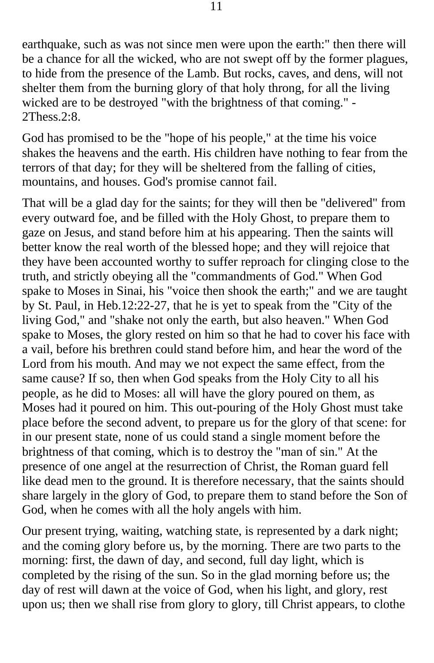earthquake, such as was not since men were upon the earth:" then there will be a chance for all the wicked, who are not swept off by the former plagues, to hide from the presence of the Lamb. But rocks, caves, and dens, will not shelter them from the burning glory of that holy throng, for all the living wicked are to be destroyed "with the brightness of that coming." -  $2$ Thess.  $2:8$ .

God has promised to be the "hope of his people," at the time his voice shakes the heavens and the earth. His children have nothing to fear from the terrors of that day; for they will be sheltered from the falling of cities, mountains, and houses. God's promise cannot fail.

That will be a glad day for the saints; for they will then be "delivered" from every outward foe, and be filled with the Holy Ghost, to prepare them to gaze on Jesus, and stand before him at his appearing. Then the saints will better know the real worth of the blessed hope; and they will rejoice that they have been accounted worthy to suffer reproach for clinging close to the truth, and strictly obeying all the "commandments of God." When God spake to Moses in Sinai, his "voice then shook the earth;" and we are taught by St. Paul, in Heb.12:22-27, that he is yet to speak from the "City of the living God," and "shake not only the earth, but also heaven." When God spake to Moses, the glory rested on him so that he had to cover his face with a vail, before his brethren could stand before him, and hear the word of the Lord from his mouth. And may we not expect the same effect, from the same cause? If so, then when God speaks from the Holy City to all his people, as he did to Moses: all will have the glory poured on them, as Moses had it poured on him. This out-pouring of the Holy Ghost must take place before the second advent, to prepare us for the glory of that scene: for in our present state, none of us could stand a single moment before the brightness of that coming, which is to destroy the "man of sin." At the presence of one angel at the resurrection of Christ, the Roman guard fell like dead men to the ground. It is therefore necessary, that the saints should share largely in the glory of God, to prepare them to stand before the Son of God, when he comes with all the holy angels with him.

Our present trying, waiting, watching state, is represented by a dark night; and the coming glory before us, by the morning. There are two parts to the morning: first, the dawn of day, and second, full day light, which is completed by the rising of the sun. So in the glad morning before us; the day of rest will dawn at the voice of God, when his light, and glory, rest upon us; then we shall rise from glory to glory, till Christ appears, to clothe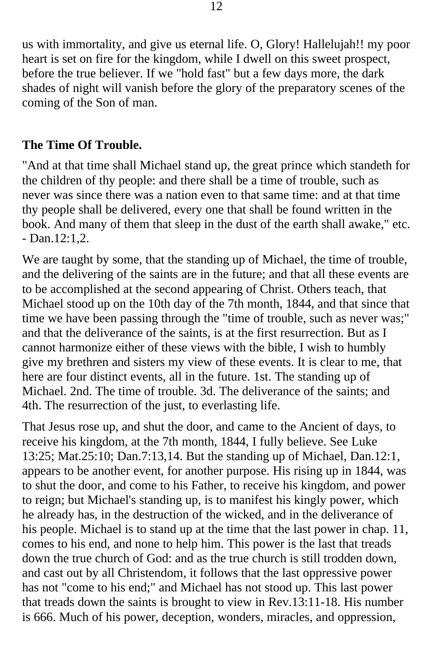us with immortality, and give us eternal life. O, Glory! Hallelujah!! my poor heart is set on fire for the kingdom, while I dwell on this sweet prospect, before the true believer. If we "hold fast" but a few days more, the dark shades of night will vanish before the glory of the preparatory scenes of the coming of the Son of man.

#### **The Time Of Trouble.**

"And at that time shall Michael stand up, the great prince which standeth for the children of thy people: and there shall be a time of trouble, such as never was since there was a nation even to that same time: and at that time thy people shall be delivered, every one that shall be found written in the book. And many of them that sleep in the dust of the earth shall awake," etc. - Dan.12:1,2.

We are taught by some, that the standing up of Michael, the time of trouble, and the delivering of the saints are in the future; and that all these events are to be accomplished at the second appearing of Christ. Others teach, that Michael stood up on the 10th day of the 7th month, 1844, and that since that time we have been passing through the "time of trouble, such as never was;" and that the deliverance of the saints, is at the first resurrection. But as I cannot harmonize either of these views with the bible, I wish to humbly give my brethren and sisters my view of these events. It is clear to me, that here are four distinct events, all in the future. 1st. The standing up of Michael. 2nd. The time of trouble. 3d. The deliverance of the saints; and 4th. The resurrection of the just, to everlasting life.

That Jesus rose up, and shut the door, and came to the Ancient of days, to receive his kingdom, at the 7th month, 1844, I fully believe. See Luke 13:25; Mat.25:10; Dan.7:13,14. But the standing up of Michael, Dan.12:1, appears to be another event, for another purpose. His rising up in 1844, was to shut the door, and come to his Father, to receive his kingdom, and power to reign; but Michael's standing up, is to manifest his kingly power, which he already has, in the destruction of the wicked, and in the deliverance of his people. Michael is to stand up at the time that the last power in chap. 11, comes to his end, and none to help him. This power is the last that treads down the true church of God: and as the true church is still trodden down, and cast out by all Christendom, it follows that the last oppressive power has not "come to his end;" and Michael has not stood up. This last power that treads down the saints is brought to view in Rev.13:11-18. His number is 666. Much of his power, deception, wonders, miracles, and oppression,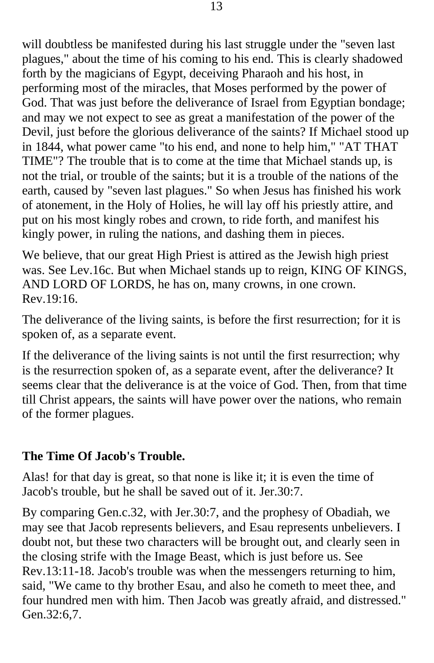will doubtless be manifested during his last struggle under the "seven last" plagues," about the time of his coming to his end. This is clearly shadowed forth by the magicians of Egypt, deceiving Pharaoh and his host, in performing most of the miracles, that Moses performed by the power of God. That was just before the deliverance of Israel from Egyptian bondage; and may we not expect to see as great a manifestation of the power of the Devil, just before the glorious deliverance of the saints? If Michael stood up in 1844, what power came "to his end, and none to help him," "AT THAT TIME"? The trouble that is to come at the time that Michael stands up, is not the trial, or trouble of the saints; but it is a trouble of the nations of the earth, caused by "seven last plagues." So when Jesus has finished his work of atonement, in the Holy of Holies, he will lay off his priestly attire, and put on his most kingly robes and crown, to ride forth, and manifest his kingly power, in ruling the nations, and dashing them in pieces.

We believe, that our great High Priest is attired as the Jewish high priest was. See Lev.16c. But when Michael stands up to reign, KING OF KINGS, AND LORD OF LORDS, he has on, many crowns, in one crown. Rev.19:16.

The deliverance of the living saints, is before the first resurrection; for it is spoken of, as a separate event.

If the deliverance of the living saints is not until the first resurrection; why is the resurrection spoken of, as a separate event, after the deliverance? It seems clear that the deliverance is at the voice of God. Then, from that time till Christ appears, the saints will have power over the nations, who remain of the former plagues.

#### **The Time Of Jacob's Trouble.**

Alas! for that day is great, so that none is like it; it is even the time of Jacob's trouble, but he shall be saved out of it. Jer.30:7.

By comparing Gen.c.32, with Jer.30:7, and the prophesy of Obadiah, we may see that Jacob represents believers, and Esau represents unbelievers. I doubt not, but these two characters will be brought out, and clearly seen in the closing strife with the Image Beast, which is just before us. See Rev.13:11-18. Jacob's trouble was when the messengers returning to him, said, "We came to thy brother Esau, and also he cometh to meet thee, and four hundred men with him. Then Jacob was greatly afraid, and distressed." Gen.32:6,7.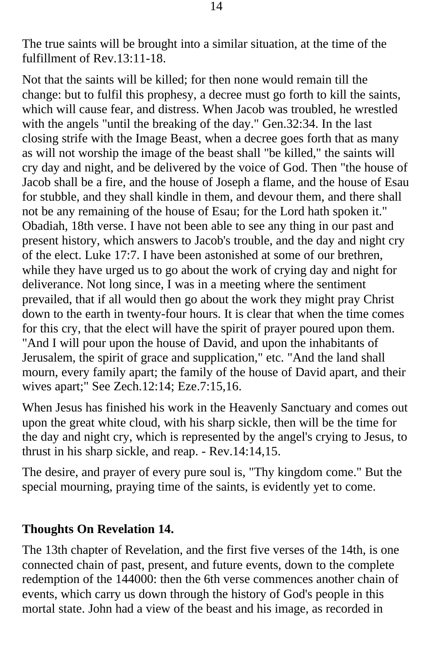The true saints will be brought into a similar situation, at the time of the fulfillment of Rev.13:11-18.

Not that the saints will be killed; for then none would remain till the change: but to fulfil this prophesy, a decree must go forth to kill the saints, which will cause fear, and distress. When Jacob was troubled, he wrestled with the angels "until the breaking of the day." Gen.32:34. In the last closing strife with the Image Beast, when a decree goes forth that as many as will not worship the image of the beast shall "be killed," the saints will cry day and night, and be delivered by the voice of God. Then "the house of Jacob shall be a fire, and the house of Joseph a flame, and the house of Esau for stubble, and they shall kindle in them, and devour them, and there shall not be any remaining of the house of Esau; for the Lord hath spoken it." Obadiah, 18th verse. I have not been able to see any thing in our past and present history, which answers to Jacob's trouble, and the day and night cry of the elect. Luke 17:7. I have been astonished at some of our brethren, while they have urged us to go about the work of crying day and night for deliverance. Not long since, I was in a meeting where the sentiment prevailed, that if all would then go about the work they might pray Christ down to the earth in twenty-four hours. It is clear that when the time comes for this cry, that the elect will have the spirit of prayer poured upon them. "And I will pour upon the house of David, and upon the inhabitants of Jerusalem, the spirit of grace and supplication," etc. "And the land shall mourn, every family apart; the family of the house of David apart, and their wives apart;" See Zech.12:14; Eze.7:15,16.

When Jesus has finished his work in the Heavenly Sanctuary and comes out upon the great white cloud, with his sharp sickle, then will be the time for the day and night cry, which is represented by the angel's crying to Jesus, to thrust in his sharp sickle, and reap. - Rev.14:14,15.

The desire, and prayer of every pure soul is, "Thy kingdom come." But the special mourning, praying time of the saints, is evidently yet to come.

#### **Thoughts On Revelation 14.**

The 13th chapter of Revelation, and the first five verses of the 14th, is one connected chain of past, present, and future events, down to the complete redemption of the 144000: then the 6th verse commences another chain of events, which carry us down through the history of God's people in this mortal state. John had a view of the beast and his image, as recorded in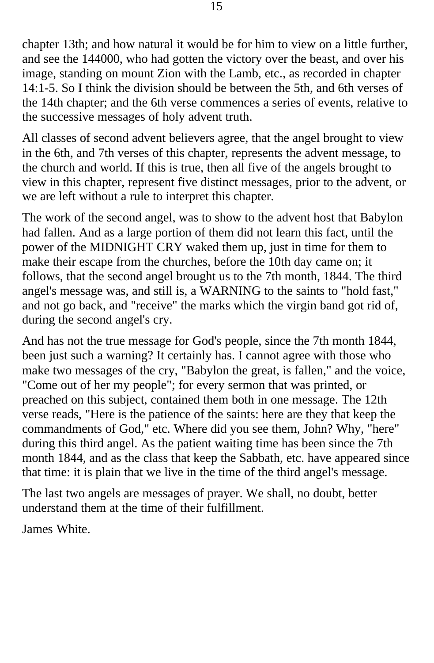chapter 13th; and how natural it would be for him to view on a little further, and see the 144000, who had gotten the victory over the beast, and over his image, standing on mount Zion with the Lamb, etc., as recorded in chapter 14:1-5. So I think the division should be between the 5th, and 6th verses of the 14th chapter; and the 6th verse commences a series of events, relative to the successive messages of holy advent truth.

All classes of second advent believers agree, that the angel brought to view in the 6th, and 7th verses of this chapter, represents the advent message, to the church and world. If this is true, then all five of the angels brought to view in this chapter, represent five distinct messages, prior to the advent, or we are left without a rule to interpret this chapter.

The work of the second angel, was to show to the advent host that Babylon had fallen. And as a large portion of them did not learn this fact, until the power of the MIDNIGHT CRY waked them up, just in time for them to make their escape from the churches, before the 10th day came on; it follows, that the second angel brought us to the 7th month, 1844. The third angel's message was, and still is, a WARNING to the saints to "hold fast," and not go back, and "receive" the marks which the virgin band got rid of, during the second angel's cry.

And has not the true message for God's people, since the 7th month 1844, been just such a warning? It certainly has. I cannot agree with those who make two messages of the cry, "Babylon the great, is fallen," and the voice, "Come out of her my people"; for every sermon that was printed, or preached on this subject, contained them both in one message. The 12th verse reads, "Here is the patience of the saints: here are they that keep the commandments of God," etc. Where did you see them, John? Why, "here" during this third angel. As the patient waiting time has been since the 7th month 1844, and as the class that keep the Sabbath, etc. have appeared since that time: it is plain that we live in the time of the third angel's message.

The last two angels are messages of prayer. We shall, no doubt, better understand them at the time of their fulfillment.

James White.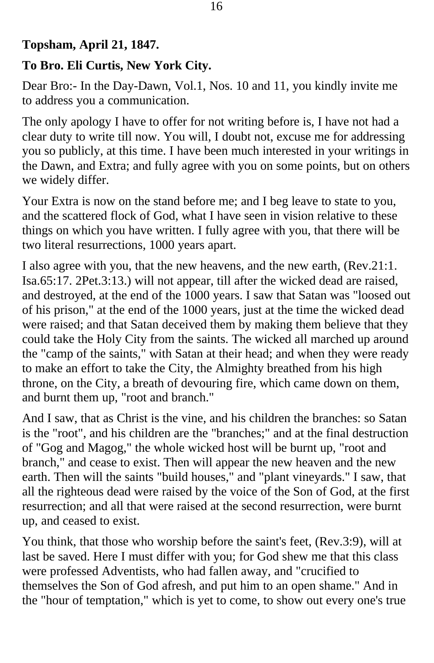## **Topsham, April 21, 1847.**

## **To Bro. Eli Curtis, New York City.**

Dear Bro:- In the Day-Dawn, Vol.1, Nos. 10 and 11, you kindly invite me to address you a communication.

The only apology I have to offer for not writing before is, I have not had a clear duty to write till now. You will, I doubt not, excuse me for addressing you so publicly, at this time. I have been much interested in your writings in the Dawn, and Extra; and fully agree with you on some points, but on others we widely differ.

Your Extra is now on the stand before me; and I beg leave to state to you, and the scattered flock of God, what I have seen in vision relative to these things on which you have written. I fully agree with you, that there will be two literal resurrections, 1000 years apart.

I also agree with you, that the new heavens, and the new earth, (Rev.21:1. Isa.65:17. 2Pet.3:13.) will not appear, till after the wicked dead are raised, and destroyed, at the end of the 1000 years. I saw that Satan was "loosed out of his prison," at the end of the 1000 years, just at the time the wicked dead were raised; and that Satan deceived them by making them believe that they could take the Holy City from the saints. The wicked all marched up around the "camp of the saints," with Satan at their head; and when they were ready to make an effort to take the City, the Almighty breathed from his high throne, on the City, a breath of devouring fire, which came down on them, and burnt them up, "root and branch."

And I saw, that as Christ is the vine, and his children the branches: so Satan is the "root", and his children are the "branches;" and at the final destruction of "Gog and Magog," the whole wicked host will be burnt up, "root and branch," and cease to exist. Then will appear the new heaven and the new earth. Then will the saints "build houses," and "plant vineyards." I saw, that all the righteous dead were raised by the voice of the Son of God, at the first resurrection; and all that were raised at the second resurrection, were burnt up, and ceased to exist.

You think, that those who worship before the saint's feet, (Rev.3:9), will at last be saved. Here I must differ with you; for God shew me that this class were professed Adventists, who had fallen away, and "crucified to themselves the Son of God afresh, and put him to an open shame." And in the "hour of temptation," which is yet to come, to show out every one's true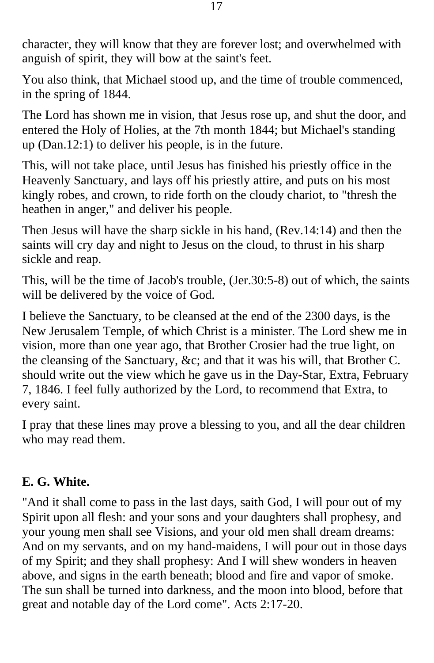character, they will know that they are forever lost; and overwhelmed with anguish of spirit, they will bow at the saint's feet.

You also think, that Michael stood up, and the time of trouble commenced, in the spring of 1844.

The Lord has shown me in vision, that Jesus rose up, and shut the door, and entered the Holy of Holies, at the 7th month 1844; but Michael's standing up (Dan.12:1) to deliver his people, is in the future.

This, will not take place, until Jesus has finished his priestly office in the Heavenly Sanctuary, and lays off his priestly attire, and puts on his most kingly robes, and crown, to ride forth on the cloudy chariot, to "thresh the heathen in anger," and deliver his people.

Then Jesus will have the sharp sickle in his hand, (Rev.14:14) and then the saints will cry day and night to Jesus on the cloud, to thrust in his sharp sickle and reap.

This, will be the time of Jacob's trouble, (Jer.30:5-8) out of which, the saints will be delivered by the voice of God.

I believe the Sanctuary, to be cleansed at the end of the 2300 days, is the New Jerusalem Temple, of which Christ is a minister. The Lord shew me in vision, more than one year ago, that Brother Crosier had the true light, on the cleansing of the Sanctuary, &c; and that it was his will, that Brother C. should write out the view which he gave us in the Day-Star, Extra, February 7, 1846. I feel fully authorized by the Lord, to recommend that Extra, to every saint.

I pray that these lines may prove a blessing to you, and all the dear children who may read them.

#### **E. G. White.**

"And it shall come to pass in the last days, saith God, I will pour out of my Spirit upon all flesh: and your sons and your daughters shall prophesy, and your young men shall see Visions, and your old men shall dream dreams: And on my servants, and on my hand-maidens, I will pour out in those days of my Spirit; and they shall prophesy: And I will shew wonders in heaven above, and signs in the earth beneath; blood and fire and vapor of smoke. The sun shall be turned into darkness, and the moon into blood, before that great and notable day of the Lord come". Acts 2:17-20.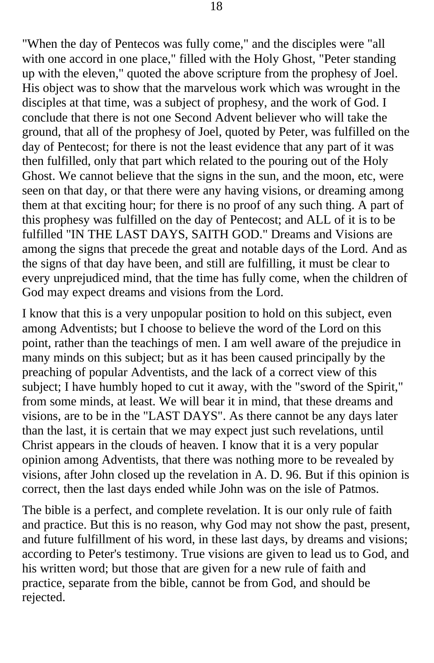"When the day of Pentecos was fully come," and the disciples were "all with one accord in one place," filled with the Holy Ghost, "Peter standing up with the eleven," quoted the above scripture from the prophesy of Joel. His object was to show that the marvelous work which was wrought in the disciples at that time, was a subject of prophesy, and the work of God. I conclude that there is not one Second Advent believer who will take the ground, that all of the prophesy of Joel, quoted by Peter, was fulfilled on the day of Pentecost; for there is not the least evidence that any part of it was then fulfilled, only that part which related to the pouring out of the Holy Ghost. We cannot believe that the signs in the sun, and the moon, etc, were seen on that day, or that there were any having visions, or dreaming among them at that exciting hour; for there is no proof of any such thing. A part of this prophesy was fulfilled on the day of Pentecost; and ALL of it is to be fulfilled "IN THE LAST DAYS, SAITH GOD." Dreams and Visions are among the signs that precede the great and notable days of the Lord. And as the signs of that day have been, and still are fulfilling, it must be clear to every unprejudiced mind, that the time has fully come, when the children of God may expect dreams and visions from the Lord.

I know that this is a very unpopular position to hold on this subject, even among Adventists; but I choose to believe the word of the Lord on this point, rather than the teachings of men. I am well aware of the prejudice in many minds on this subject; but as it has been caused principally by the preaching of popular Adventists, and the lack of a correct view of this subject; I have humbly hoped to cut it away, with the "sword of the Spirit," from some minds, at least. We will bear it in mind, that these dreams and visions, are to be in the "LAST DAYS". As there cannot be any days later than the last, it is certain that we may expect just such revelations, until Christ appears in the clouds of heaven. I know that it is a very popular opinion among Adventists, that there was nothing more to be revealed by visions, after John closed up the revelation in A. D. 96. But if this opinion is correct, then the last days ended while John was on the isle of Patmos.

The bible is a perfect, and complete revelation. It is our only rule of faith and practice. But this is no reason, why God may not show the past, present, and future fulfillment of his word, in these last days, by dreams and visions; according to Peter's testimony. True visions are given to lead us to God, and his written word; but those that are given for a new rule of faith and practice, separate from the bible, cannot be from God, and should be rejected.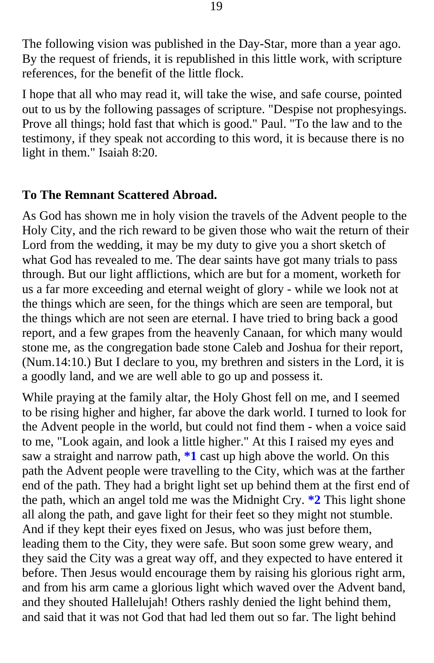The following vision was published in the Day-Star, more than a year ago. By the request of friends, it is republished in this little work, with scripture references, for the benefit of the little flock.

I hope that all who may read it, will take the wise, and safe course, pointed out to us by the following passages of scripture. "Despise not prophesyings. Prove all things; hold fast that which is good." Paul. "To the law and to the testimony, if they speak not according to this word, it is because there is no light in them." Isaiah 8:20.

#### **To The Remnant Scattered Abroad.**

As God has shown me in holy vision the travels of the Advent people to the Holy City, and the rich reward to be given those who wait the return of their Lord from the wedding, it may be my duty to give you a short sketch of what God has revealed to me. The dear saints have got many trials to pass through. But our light afflictions, which are but for a moment, worketh for us a far more exceeding and eternal weight of glory - while we look not at the things which are seen, for the things which are seen are temporal, but the things which are not seen are eternal. I have tried to bring back a good report, and a few grapes from the heavenly Canaan, for which many would stone me, as the congregation bade stone Caleb and Joshua for their report, (Num.14:10.) But I declare to you, my brethren and sisters in the Lord, it is a goodly land, and we are well able to go up and possess it.

While praying at the family altar, the Holy Ghost fell on me, and I seemed to be rising higher and higher, far above the dark world. I turned to look for the Advent people in the world, but could not find them - when a voice said to me, "Look again, and look a little higher." At this I raised my eyes and saw a straight and narrow path, **[\\*1](#page-41-0)** cast up high above the world. On this path the Advent people were travelling to the City, which was at the farther end of the path. They had a bright light set up behind them at the first end of the path, which an angel told me was the Midnight Cry. **[\\*2](#page-41-0)** This light shone all along the path, and gave light for their feet so they might not stumble. And if they kept their eyes fixed on Jesus, who was just before them, leading them to the City, they were safe. But soon some grew weary, and they said the City was a great way off, and they expected to have entered it before. Then Jesus would encourage them by raising his glorious right arm, and from his arm came a glorious light which waved over the Advent band, and they shouted Hallelujah! Others rashly denied the light behind them, and said that it was not God that had led them out so far. The light behind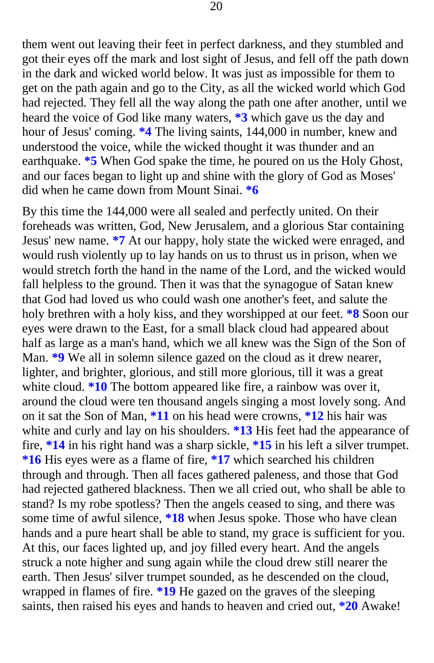them went out leaving their feet in perfect darkness, and they stumbled and [got their eyes off the mark and lost sight of Jesus, and fell off the path down](#page-41-0)  in the dark and wicked world below. It was just as impossible for them to get on the path again and go to the City, as all the wicked world which God had rejected. They fell all the way along the path one after another, until we heard the voice of God like many waters, **\*3** which gave us the day and hour of Jesus' coming. **\*4** The living saints, 144,000 in number, knew and understood the voice, while the wicked thought it was thunder and an earthquake. **\*5** When God spake the time, he poured on us the Holy Ghost, and our faces began to light up and shine with the glory of God as Moses' did when he came down from Mount Sinai. **\*6** 

By this time the 144,000 were all sealed and perfectly united. On their foreheads was written, God, New Jerusalem, and a glorious Star containing Jesus' new name. **\*7** At our happy, holy state the wicked were enraged, and would rush violently up to lay hands on us to thrust us in prison, when we would stretch forth the hand in the name of the Lord, and the wicked would fall helpless to the ground. Then it was that the synagogue of Satan knew that God had loved us who could wash one another's feet, and salute the holy brethren with a holy kiss, and they worshipped at our feet. **\*8** Soon our eyes were drawn to the East, for a small black cloud had appeared about half as large as a man's hand, which we all knew was the Sign of the Son of Man. **\*9** We all in solemn silence gazed on the cloud as it drew nearer, lighter, and brighter, glorious, and still more glorious, till it was a great white cloud. **\*10** The bottom appeared like fire, a rainbow was over it, around the cloud were ten thousand angels singing a most lovely song. And on it sat the Son of Man, **\*11** on his head were crowns, **\*12** his hair was white and curly and lay on his shoulders. **\*13** His feet had the appearance of fire, **\*14** in his right hand was a sharp sickle, **\*15** in his left a silver trumpet. **\*16** His eyes were as a flame of fire, **\*17** which searched his children through and through. Then all faces gathered paleness, and those that God had rejected gathered blackness. Then we all cried out, who shall be able to stand? Is my robe spotless? Then the angels ceased to sing, and there was some time of awful silence, **\*18** when Jesus spoke. Those who have clean hands and a pure heart shall be able to stand, my grace is sufficient for you. At this, our faces lighted up, and joy filled every heart. And the angels struck a note higher and sung again while the cloud drew still nearer the earth. Then Jesus' silver trumpet sounded, as he descended on the cloud, wrapped in flames of fire. **\*19** He gazed on the graves of the sleeping saints, then raised his eyes and hands to heaven and cried out, **\*20** Awake!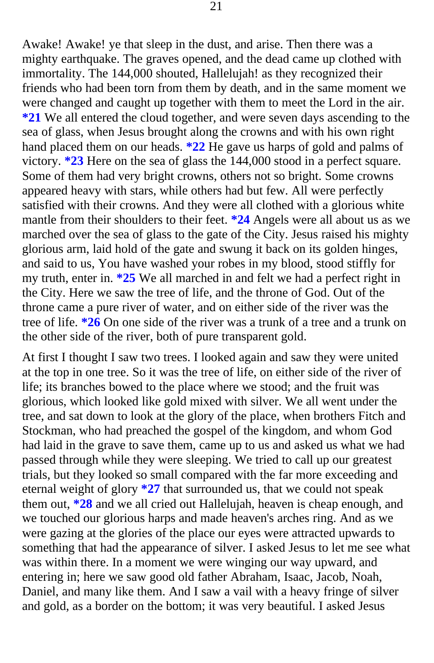Awake! Awake! ye that sleep in the dust, and arise. Then there was a mighty earthquake. The graves opened, and the dead came up clothed with immortality. The 144,000 shouted, Hallelujah! as they recognized their friends who had been torn from them by death, and in the same moment we were changed and caught up together with them to meet the Lord in the air. **\*21** We all entered the cloud together, and were seven days ascending to the [sea of glass, when Jesus brought along the crow](#page-41-0)ns and with his own right hand placed them on our heads. **\*22** He gave us harps of gold and palms of victory. **\*23** Here on the sea of glass the 144,000 stood in a perfect square. Some of them had very bright crowns, others not so bright. Some crowns appeared heavy with stars, while others had but few. All were perfectly satisfied with their crowns. And they were all clothed with a glorious white mantle from their shoulders to their feet. **\*24** Angels were all about us as we marched over the sea of glass to the gate of the City. Jesus raised his mighty glorious arm, laid hold of the gate and swung it back on its golden hinges, and said to us, You have washed your robes in my blood, stood stiffly for my truth, enter in. **\*25** We all marched in and felt we had a perfect right in the City. Here we saw the tree of life, and the throne of God. Out of the throne came a pure river of water, and on either side of the river was the tree of life. **\*26** On one side of the river was a trunk of a tree and a trunk on the other side of the river, both of pure transparent gold.

At first I thought I saw two trees. I looked again and saw they were united at the top in one tree. So it was the tree of life, on either side of the river of life; it[s branches bowed to the](#page-42-0) place where we stood; and the fruit was glorious, which looked like gold mixed with silver. We all went under the tree, and sat down to look at the glory of the place, when brothers Fitch and Stockman, who had preached the gospel of the kingdom, and whom God had laid in the grave to save them, came up to us and asked us what we had passed through while they were sleeping. We tried to call up our greatest trials, but they looked so small compared with the far more exceeding and eternal weight of glory **\*27** that surrounded us, that we could not speak them out, **\*28** and we all cried out Hallelujah, heaven is cheap enough, and we touched our glorious harps and made heaven's arches ring. And as we were gazing at the glories of the place our eyes were attracted upwards to something that had the appearance of silver. I asked Jesus to let me see what was within there. In a moment we were winging our way upward, and entering in; here we saw good old father Abraham, Isaac, Jacob, Noah, Daniel, and many like them. And I saw a vail with a heavy fringe of silver and gold, as a border on the bottom; it was very beautiful. I asked Jesus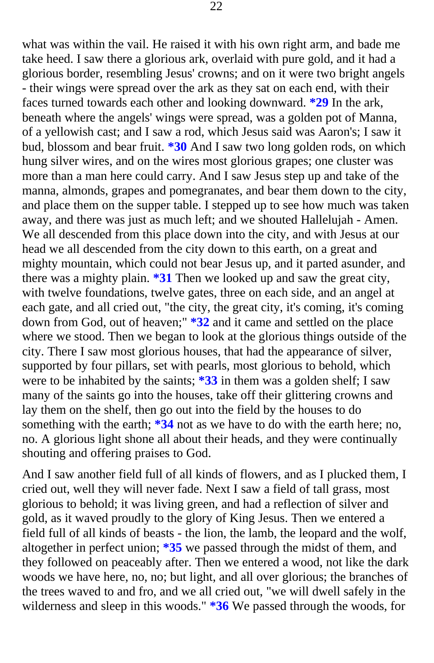what was within the vail. He raised it with his own right arm, and bade me take heed. I saw there a glorious ark, overlaid with pure gold, and it had a glorious border, resembling Jesus' crowns; and on it were two bright angels - their wings were spread over the ark as they sat on each end, with their faces turned towards each other and looking downward. **\*29** In the ark, beneath where the angels' wings were spread, was a golden pot of Manna, of a yellowish cast; and I saw a rod, which Jesus said was Aaron's; I saw it bud, blossom and bear fruit. **\*30** And I saw two long golden rods, on which hung silver wires, and on the wires most glorious grapes; one cluster was more than a man here could carry. And I saw Jesus step up and take of the manna, almonds, grapes and pomegranates, and bear them down to the city, and place them on the supper table. I stepped up to see how much was taken away, and there was just as much left; and we shouted Hallelujah - Amen. We all descended from this place down into the city, and with Jesus at our head we all descended from the city down to this earth, on a great and mighty mountain, which could not bear Jesus up, and it parted asunder, and there was a mighty plain. **\*31** Then we looked up and saw the great city, with twelve foundations, twelve gates, three on each side, and an angel at each gate, and all cried out, "the city, the great city, it's coming, it's coming down from God, out of heaven;" **\*32** and it came and settled on the place where we stood. Then we began to look at the glorious things outside of the city. There I saw most glorious houses, that had the appearance of silver, supported by four pillars, set with pearls, most glorious to behold, which were to be inhabited by the saints; **\*33** in them was a golden shelf; I saw many of the saints go int[o the houses, take off their glittering](#page-42-0) crowns and lay them on the shelf, then go out into the field by the houses to do something with the earth; **\*34** not as we have to do with the earth here; no, no. A glorious light shone all about their heads, and they were continually shouting and offering praises to God.

And I saw another field full of all kinds of flowers, and as I plucked them, I cried out, well they will never fade. Next I saw a field of tall grass, most glorious to behold; it was living green, and had a reflection of silver and gold, as it waved proudly to the glory of King Jesus. Then we entered a field full of all kinds of beasts - the lion, the lamb, the leopard and the wolf, altogether in perfect union; **\*35** we passed through the midst of them, and they followed on peaceably after. Then we entered a wood, not like the dark woods we have here, no, no; but light, and all over glorious; the branches of the trees waved to and fro, and we all cried out, "we will dwell safely in the wilderness and sleep in this woods." **\*36** We passed through the woods, for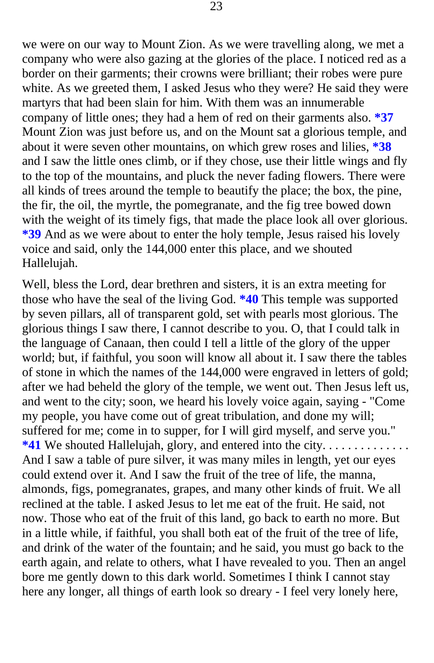we were on our way to Mount Zion. As we were travelling along, we met a company who were also gazing at the glories of the place. I noticed red as a border on their garments; their crowns were brilliant; their robes were pure white. As we greeted them, I asked Jesus who they were? He said they were martyrs that had been slain for him. With them was an innumerable company of little ones; they had a hem of red on their garments also. **\*37**  Mount Zion was just before us, and on the Mount sat a glorious temple, and about it were seven other mountains, on which grew roses and lilies, **\*38**  and I saw the little ones climb, or if they chose, use their little wings and fly to the top of the mountains, and pluck the never fading flowers. There were all kinds of trees around the temple to beautify the place; the box, the pine, the fir, the oil, the myrtle, the pomegranate, and the fig tree bowed down with the weight of its timely figs, that made the place look all over glorious. **\*39** And as we were about to enter the holy temple, Jesus raised his lovely voice and said, only the 144,000 enter this place, and we shouted Hallelujah.

Well, bless the Lord, dear brethren and sisters, it is an extra meeting for those who have the seal of the living God. **\*40** This temple was supported by seven pillars, all of transparent gold, set with pearls most glorious. The glorious things I saw there, I cannot describe to you. O, that I could talk in the language of Canaan, then could I tell a little of the glory of the upper world; but, if faithful, you soon will know all about it. I saw there the tables of stone in which the names of the 144,000 were engraved in letters of gold; [after we had beheld the glory of the temple, we went out. Then Jesus left u](#page-42-0)s, and went to the city; soon, we heard his lovely voice again, saying - "Come my people, you have come out of great tribulation, and done my will; suffered for me; come in to supper, for I will gird myself, and serve you." **\*41** We shouted Hallelujah, glory, and entered into the city. . . . . . . . . . . . . . And I saw a table of pure silver, it was many miles in length, yet our eyes could extend over it. And I saw the fruit of the tree of life, the manna, almonds, figs, pomegranates, grapes, and many other kinds of fruit. We all reclined at the table. I asked Jesus to let me eat of the fruit. He said, not now. Those who eat of the fruit of this land, go back to earth no more. But in a little while, if faithful, you shall both eat of the fruit of the tree of life, and drink of the water of the fountain; and he said, you must go back to the earth again, and relate to others, what I have revealed to you. Then an angel bore me gently down to this dark world. Sometimes I think I cannot stay here any longer, all things of earth look so dreary - I feel very lonely here,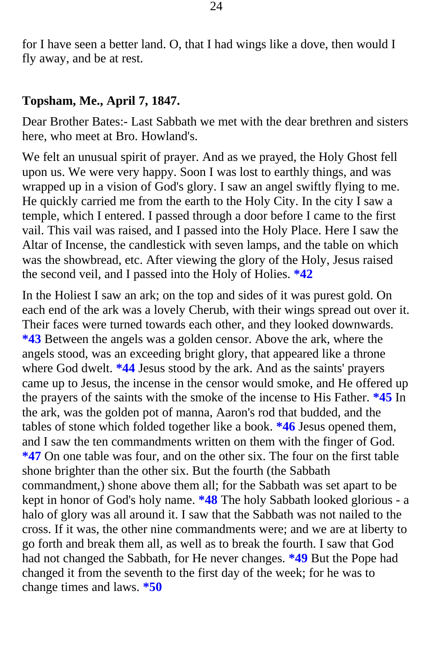for I have seen a better land. O, that I had wings like a dove, then would I fly away, and be at rest.

#### **Topsham, Me., April 7, 1847.**

Dear Brother Bates:- Last Sabbath we met with the dear brethren and sisters here, who meet at Bro. Howland's.

We felt an unusual spirit of prayer. And as we prayed, the Holy Ghost fell upon us. We were very happy. Soon I was lost to earthly things, and was wrapped up in a vision of God's glory. I saw an angel swiftly flying to me. He quickly carried me from the earth to the Holy City. In the city I saw a temple, which I entered. I passed through a door before I came to the first vail. This vail was raised, and I passed into the Holy Place. Here I saw the Altar of Incense, the candlestick with seven lamps, and the table on which was the showbread, etc. After viewing the glory of the Holy, Jesus raised the second veil, and I passed into the Holy of Holies. **\*42** 

[In the Holiest I saw an ark; on the top and sides of it was purest gold. On](#page-42-0)  each end of the ark was a lovely Cherub, with their wings spread out over it. Their faces were turned towards each other, and they looked downwards. **\*43** Between the angels was a golden censor. Above the ark, where the angels stood, was an exceeding bright glory, that appeared like a throne where God dwelt. **\*44** Jesus stood by the ark. And as the saints' prayers came up to Jesus, the incense in the censor would smoke, and He offered up the prayers of the saints with the smoke of the incense to His Father. **\*45** In the ark, was the golden pot of manna, Aaron's rod that budded, and the tables of stone which folded together like a book. **\*46** Jesus opened them, and I saw the ten commandments written on them with the finger of God. **\*47** On one table was four, and on the other six. The four on the first table shone brighter than the other six. But the fourth (the Sabbath commandment,) shone above them all; for the Sabbath was set apart to be kept in honor of God's holy name. **\*48** The holy Sabbath looked glorious - a halo of glory was all around it. I saw that the Sabbath was not nailed to the cross. If it was, the other nine commandments were; and we are at liberty to go forth and break them all, as well as to break the fourth. I saw that God had not changed the Sabbath, for He never changes. **\*49** But the Pope had changed it from the seventh to the first day of the week; for he was to change times and laws. **\*50**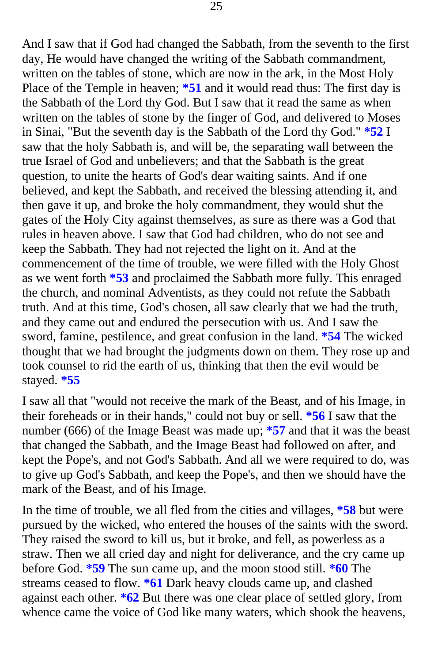And I saw that if God had changed the Sabbath, from the seventh to the first day, He would have changed the writing of the Sabbath commandment, written on the tables of stone, which are now in the ark, in the Most Holy Place of the Temple in heaven; **\*51** and it would read thus: The first day is the Sabbath of th[e Lord thy God. But I saw that it read the same as when](#page-42-0) written on the tables of stone by the finger of God, and delivered to Moses in Sinai, "But the seventh day is the Sabbath of the Lord thy God." **\*52** I saw that the holy Sabbath is, and will be, the separating wall between the true Israel of God and unbelievers; and that the Sabbath is the great question, to unite the hearts of God's dear waiting saints. And if one believed, and kept the Sabbath, and received the blessing attending it, and then gave it up, and broke the holy commandment, they would shut the gates of the Holy City against themselves, as sure as there was a God that rules in heaven above. I saw that God had children, who do not see and keep the Sabbath. They had not rejected the light on it. And at the commencement of the time of trouble, we were filled with the Holy Ghost as we went forth **\*53** and proclaimed the Sabbath more fully. This enraged the church, and nominal Adventists, as they could not refute the Sabbath truth. And at this time, God's chosen, all saw clearly that we had the truth, and they came out and endured the persecution with us. And I saw the sword, famine, pestilence, and great confusion in the land. **\*54** The wicked thoug[ht that we had brought the judgments down on them. They ros](#page-43-0)e up and took counsel to rid the earth of us, thinking that then the evil would be stayed. **\*55** 

I saw all that "would not receive the mark of the Beast, and of his Image, in their foreheads or in their hands," could not buy or sell. **\*56** I saw that the number (666) of the Image Beast was made up; **\*57** and that it was the beast that changed the Sabbath, and the Image Beast had followed on after, and kept the Pope's, and not God's Sabbath. And all we were required to do, was to give up God's Sabbath, and keep the Pope's, and then we should have the mark of the Beast, and of his Image.

In the time of trouble, we all fled from the cities and villages, **\*58** but were pursued by the wicked, who entered the houses of the saints with the sword. They raised the sword to kill us, but it broke, and fell, as powerless as a straw. Then we all cried day and night for deliverance, and the cry came up before God. **\*59** The sun came up, and the moon stood still. **\*60** The streams ceased to flow. **\*61** Dark heavy clouds came up, and clashed against each other. **\*62** But there was one clear place of settled glory, from whence came the voice of God like many waters, which shook the heavens,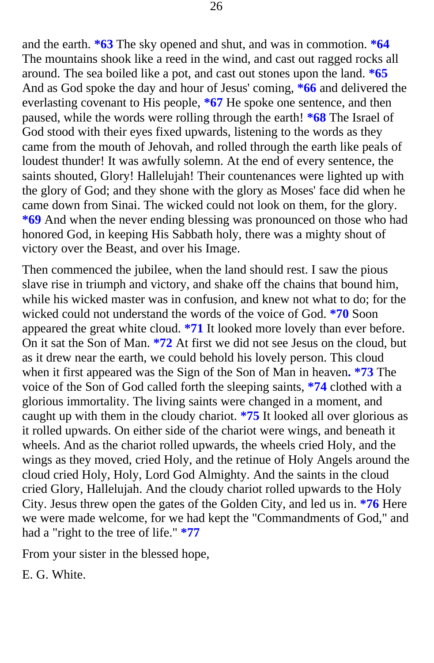and the earth. **\*63** The sky opened and shut, and was in commotion. **\*64**  The mountains shook like a reed in the wind, and cast out ragged rocks all around. The sea boiled like a pot, and cast out stones upon the land. **\*65**  And as God spoke the day and hour of Jesus' coming, **\*66** and delivered the everlasting covenant to His people, **\*67** He spoke one sentence, and then paused, while the words were rolling through the earth! **\*68** The Israel of God stood with their eyes fixed upwards, listening to the words as they came from the mouth of Jehovah, and rolled through the earth like peals of loudest thunder! It was awfully solemn. At the end of every sentence, the saints shouted, Glory! Hallelujah! Their countenances were lighted up with the glory of God; and they shone with the glory as Moses' face did when he came down from Sinai. The wicked could not look on them, for the glory. **\*69** And when the never ending blessing was pronounced on those who had honored God, in keeping His Sabbath holy, there was a mighty shout of victory over the Beast, and over his Image.

Then commenced the jubilee, when the land should rest. I saw the pious slave rise in triumph and victory, and shake off the chains that bound him, while his wicked master was in confusion, and knew not what to do; for the wicked could not understand the words of the voice of God. **\*70** Soon appeared the great white cloud. **\*71** It looked more lovely than ever before. On it sat the Son of Man. **\*72** At first we did not see Jesus on the cloud, but as it drew near the earth, we could behold his lovely person. This cloud when it first appeared was the Sign of the Son of Man in heaven**. \*73** The voice of the Son of God called forth the sleeping saints, **\*74** clothed with a glorious immortality. The living saints were changed in a moment, and caught up with them in the cloudy chariot. **\*75** It looked all over glorious as it rolled upwards. On either side of the chariot were wings, and beneath it wheels. And as the chariot rolled upwards, the wheels cried Holy, and the [wings as they moved, cried Holy, and the retinue of Holy Angels around the](#page-43-0) cloud cried Holy, Holy, Lord God Almighty. And the saints in the cloud cried Glory, Hallelujah. And the cloudy chariot rolled upwards to the Holy City. Jesus threw open the gates of the Golden City, and led us in. **\*76** Here we were made welcome, for we had kept the "Commandments of God," and had a "right to the tree of life." **\*77** 

From your sister in the blessed hope,

E. G. White.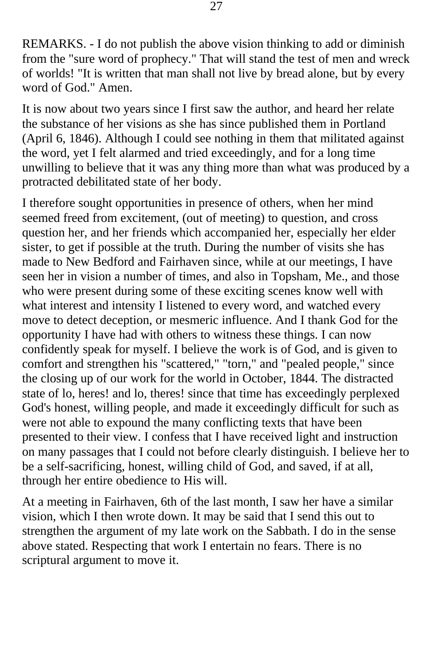REMARKS. - I do not publish the above vision thinking to add or diminish from the "sure word of prophecy." That will stand the test of men and wreck of worlds! "It is written that man shall not live by bread alone, but by every word of God." Amen.

It is now about two years since I first saw the author, and heard her relate the substance of her visions as she has since published them in Portland (April 6, 1846). Although I could see nothing in them that militated against the word, yet I felt alarmed and tried exceedingly, and for a long time unwilling to believe that it was any thing more than what was produced by a protracted debilitated state of her body.

I therefore sought opportunities in presence of others, when her mind seemed freed from excitement, (out of meeting) to question, and cross question her, and her friends which accompanied her, especially her elder sister, to get if possible at the truth. During the number of visits she has made to New Bedford and Fairhaven since, while at our meetings, I have seen her in vision a number of times, and also in Topsham, Me., and those who were present during some of these exciting scenes know well with what interest and intensity I listened to every word, and watched every move to detect deception, or mesmeric influence. And I thank God for the opportunity I have had with others to witness these things. I can now confidently speak for myself. I believe the work is of God, and is given to comfort and strengthen his "scattered," "torn," and "pealed people," since the closing up of our work for the world in October, 1844. The distracted state of lo, heres! and lo, theres! since that time has exceedingly perplexed God's honest, willing people, and made it exceedingly difficult for such as were not able to expound the many conflicting texts that have been presented to their view. I confess that I have received light and instruction on many passages that I could not before clearly distinguish. I believe her to be a self-sacrificing, honest, willing child of God, and saved, if at all, through her entire obedience to His will.

At a meeting in Fairhaven, 6th of the last month, I saw her have a similar vision, which I then wrote down. It may be said that I send this out to strengthen the argument of my late work on the Sabbath. I do in the sense above stated. Respecting that work I entertain no fears. There is no scriptural argument to move it.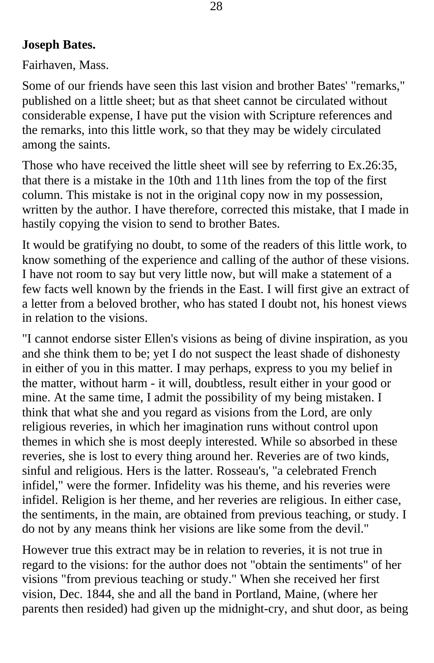## **Joseph Bates.**

Fairhaven, Mass.

Some of our friends have seen this last vision and brother Bates' "remarks," published on a little sheet; but as that sheet cannot be circulated without considerable expense, I have put the vision with Scripture references and the remarks, into this little work, so that they may be widely circulated among the saints.

Those who have received the little sheet will see by referring to Ex.26:35, that there is a mistake in the 10th and 11th lines from the top of the first column. This mistake is not in the original copy now in my possession, written by the author. I have therefore, corrected this mistake, that I made in hastily copying the vision to send to brother Bates.

It would be gratifying no doubt, to some of the readers of this little work, to know something of the experience and calling of the author of these visions. I have not room to say but very little now, but will make a statement of a few facts well known by the friends in the East. I will first give an extract of a letter from a beloved brother, who has stated I doubt not, his honest views in relation to the visions.

"I cannot endorse sister Ellen's visions as being of divine inspiration, as you and she think them to be; yet I do not suspect the least shade of dishonesty in either of you in this matter. I may perhaps, express to you my belief in the matter, without harm - it will, doubtless, result either in your good or mine. At the same time, I admit the possibility of my being mistaken. I think that what she and you regard as visions from the Lord, are only religious reveries, in which her imagination runs without control upon themes in which she is most deeply interested. While so absorbed in these reveries, she is lost to every thing around her. Reveries are of two kinds, sinful and religious. Hers is the latter. Rosseau's, "a celebrated French infidel," were the former. Infidelity was his theme, and his reveries were infidel. Religion is her theme, and her reveries are religious. In either case, the sentiments, in the main, are obtained from previous teaching, or study. I do not by any means think her visions are like some from the devil."

However true this extract may be in relation to reveries, it is not true in regard to the visions: for the author does not "obtain the sentiments" of her visions "from previous teaching or study." When she received her first vision, Dec. 1844, she and all the band in Portland, Maine, (where her parents then resided) had given up the midnight-cry, and shut door, as being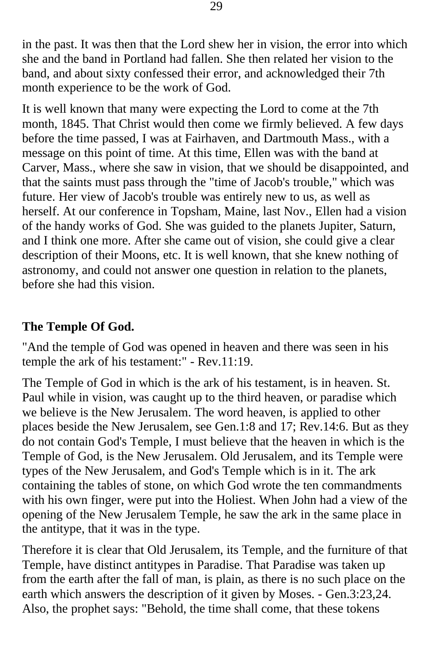in the past. It was then that the Lord shew her in vision, the error into which she and the band in Portland had fallen. She then related her vision to the band, and about sixty confessed their error, and acknowledged their 7th month experience to be the work of God.

It is well known that many were expecting the Lord to come at the 7th month, 1845. That Christ would then come we firmly believed. A few days before the time passed, I was at Fairhaven, and Dartmouth Mass., with a message on this point of time. At this time, Ellen was with the band at Carver, Mass., where she saw in vision, that we should be disappointed, and that the saints must pass through the "time of Jacob's trouble," which was future. Her view of Jacob's trouble was entirely new to us, as well as herself. At our conference in Topsham, Maine, last Nov., Ellen had a vision of the handy works of God. She was guided to the planets Jupiter, Saturn, and I think one more. After she came out of vision, she could give a clear description of their Moons, etc. It is well known, that she knew nothing of astronomy, and could not answer one question in relation to the planets, before she had this vision.

#### **The Temple Of God.**

"And the temple of God was opened in heaven and there was seen in his temple the ark of his testament:" - Rev.11:19.

The Temple of God in which is the ark of his testament, is in heaven. St. Paul while in vision, was caught up to the third heaven, or paradise which we believe is the New Jerusalem. The word heaven, is applied to other places beside the New Jerusalem, see Gen.1:8 and 17; Rev.14:6. But as they do not contain God's Temple, I must believe that the heaven in which is the Temple of God, is the New Jerusalem. Old Jerusalem, and its Temple were types of the New Jerusalem, and God's Temple which is in it. The ark containing the tables of stone, on which God wrote the ten commandments with his own finger, were put into the Holiest. When John had a view of the opening of the New Jerusalem Temple, he saw the ark in the same place in the antitype, that it was in the type.

Therefore it is clear that Old Jerusalem, its Temple, and the furniture of that Temple, have distinct antitypes in Paradise. That Paradise was taken up from the earth after the fall of man, is plain, as there is no such place on the earth which answers the description of it given by Moses. - Gen.3:23,24. Also, the prophet says: "Behold, the time shall come, that these tokens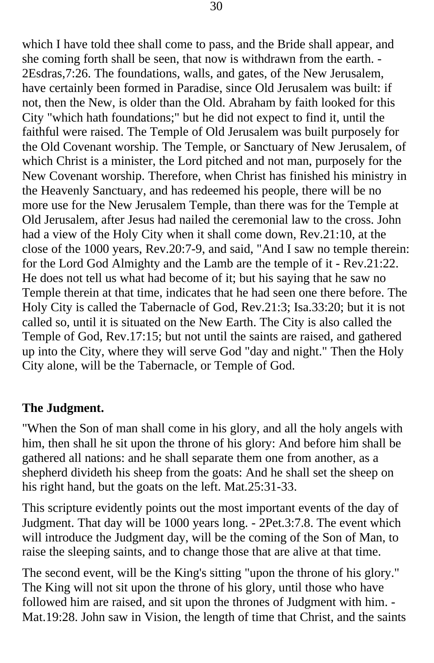which I have told thee shall come to pass, and the Bride shall appear, and she coming forth shall be seen, that now is withdrawn from the earth. - 2Esdras,7:26. The foundations, walls, and gates, of the New Jerusalem, have certainly been formed in Paradise, since Old Jerusalem was built: if not, then the New, is older than the Old. Abraham by faith looked for this City "which hath foundations;" but he did not expect to find it, until the faithful were raised. The Temple of Old Jerusalem was built purposely for the Old Covenant worship. The Temple, or Sanctuary of New Jerusalem, of which Christ is a minister, the Lord pitched and not man, purposely for the New Covenant worship. Therefore, when Christ has finished his ministry in the Heavenly Sanctuary, and has redeemed his people, there will be no more use for the New Jerusalem Temple, than there was for the Temple at Old Jerusalem, after Jesus had nailed the ceremonial law to the cross. John had a view of the Holy City when it shall come down, Rev.21:10, at the close of the 1000 years, Rev.20:7-9, and said, "And I saw no temple therein: for the Lord God Almighty and the Lamb are the temple of it - Rev.21:22. He does not tell us what had become of it; but his saying that he saw no Temple therein at that time, indicates that he had seen one there before. The Holy City is called the Tabernacle of God, Rev.21:3; Isa.33:20; but it is not called so, until it is situated on the New Earth. The City is also called the Temple of God, Rev.17:15; but not until the saints are raised, and gathered up into the City, where they will serve God "day and night." Then the Holy City alone, will be the Tabernacle, or Temple of God.

#### **The Judgment.**

"When the Son of man shall come in his glory, and all the holy angels with him, then shall he sit upon the throne of his glory: And before him shall be gathered all nations: and he shall separate them one from another, as a shepherd divideth his sheep from the goats: And he shall set the sheep on his right hand, but the goats on the left. Mat.25:31-33.

This scripture evidently points out the most important events of the day of Judgment. That day will be 1000 years long. - 2Pet.3:7.8. The event which will introduce the Judgment day, will be the coming of the Son of Man, to raise the sleeping saints, and to change those that are alive at that time.

The second event, will be the King's sitting "upon the throne of his glory." The King will not sit upon the throne of his glory, until those who have followed him are raised, and sit upon the thrones of Judgment with him. - Mat.19:28. John saw in Vision, the length of time that Christ, and the saints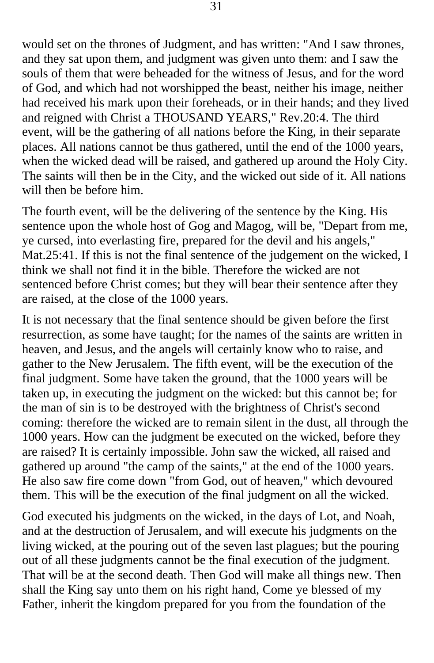would set on the thrones of Judgment, and has written: "And I saw thrones, and they sat upon them, and judgment was given unto them: and I saw the souls of them that were beheaded for the witness of Jesus, and for the word of God, and which had not worshipped the beast, neither his image, neither had received his mark upon their foreheads, or in their hands; and they lived and reigned with Christ a THOUSAND YEARS," Rev.20:4. The third event, will be the gathering of all nations before the King, in their separate places. All nations cannot be thus gathered, until the end of the 1000 years, when the wicked dead will be raised, and gathered up around the Holy City. The saints will then be in the City, and the wicked out side of it. All nations will then be before him.

The fourth event, will be the delivering of the sentence by the King. His sentence upon the whole host of Gog and Magog, will be, "Depart from me, ye cursed, into everlasting fire, prepared for the devil and his angels," Mat.25:41. If this is not the final sentence of the judgement on the wicked, I think we shall not find it in the bible. Therefore the wicked are not sentenced before Christ comes; but they will bear their sentence after they are raised, at the close of the 1000 years.

It is not necessary that the final sentence should be given before the first resurrection, as some have taught; for the names of the saints are written in heaven, and Jesus, and the angels will certainly know who to raise, and gather to the New Jerusalem. The fifth event, will be the execution of the final judgment. Some have taken the ground, that the 1000 years will be taken up, in executing the judgment on the wicked: but this cannot be; for the man of sin is to be destroyed with the brightness of Christ's second coming: therefore the wicked are to remain silent in the dust, all through the 1000 years. How can the judgment be executed on the wicked, before they are raised? It is certainly impossible. John saw the wicked, all raised and gathered up around "the camp of the saints," at the end of the 1000 years. He also saw fire come down "from God, out of heaven," which devoured them. This will be the execution of the final judgment on all the wicked.

God executed his judgments on the wicked, in the days of Lot, and Noah, and at the destruction of Jerusalem, and will execute his judgments on the living wicked, at the pouring out of the seven last plagues; but the pouring out of all these judgments cannot be the final execution of the judgment. That will be at the second death. Then God will make all things new. Then shall the King say unto them on his right hand, Come ye blessed of my Father, inherit the kingdom prepared for you from the foundation of the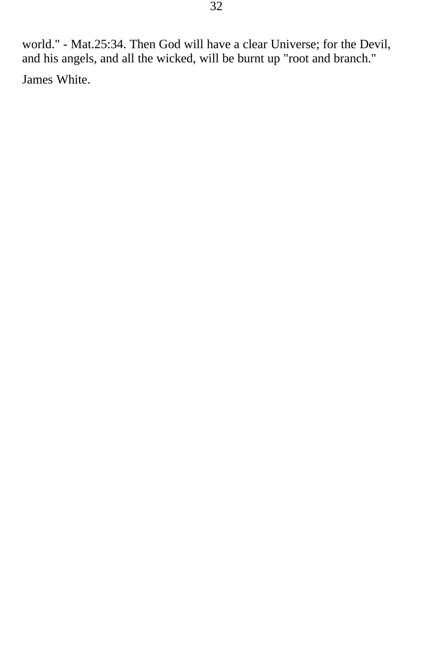world." - Mat.25:34. Then God will have a clear Universe; for the Devil, and his angels, and all the wicked, will be burnt up "root and branch." James White.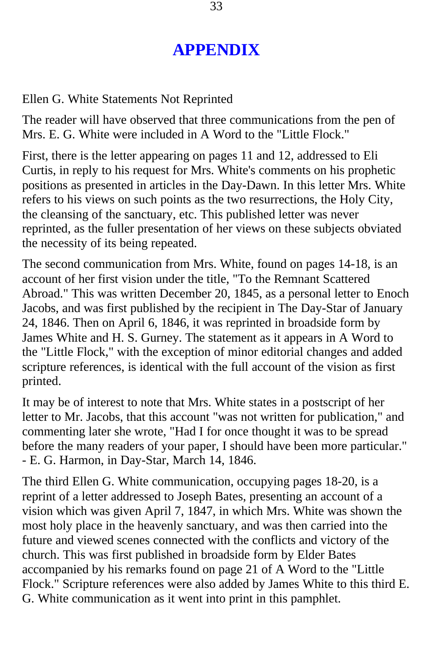# **APPENDIX**

#### Ellen G. White Statements Not Reprinted

The reader will have observed that three communications from the pen of Mrs. E. G. White were included in A Word to the "Little Flock."

First, there is the letter appearing on pages 11 and 12, addressed to Eli Curtis, in reply to his request for Mrs. White's comments on his prophetic positions as presented in articles in the Day-Dawn. In this letter Mrs. White refers to his views on such points as the two resurrections, the Holy City, the cleansing of the sanctuary, etc. This published letter was never reprinted, as the fuller presentation of her views on these subjects obviated the necessity of its being repeated.

The second communication from Mrs. White, found on pages 14-18, is an account of her first vision under the title, "To the Remnant Scattered Abroad." This was written December 20, 1845, as a personal letter to Enoch Jacobs, and was first published by the recipient in The Day-Star of January 24, 1846. Then on April 6, 1846, it was reprinted in broadside form by James White and H. S. Gurney. The statement as it appears in A Word to the "Little Flock," with the exception of minor editorial changes and added scripture references, is identical with the full account of the vision as first printed.

It may be of interest to note that Mrs. White states in a postscript of her letter to Mr. Jacobs, that this account "was not written for publication," and commenting later she wrote, "Had I for once thought it was to be spread before the many readers of your paper, I should have been more particular." - E. G. Harmon, in Day-Star, March 14, 1846.

The third Ellen G. White communication, occupying pages 18-20, is a reprint of a letter addressed to Joseph Bates, presenting an account of a vision which was given April 7, 1847, in which Mrs. White was shown the most holy place in the heavenly sanctuary, and was then carried into the future and viewed scenes connected with the conflicts and victory of the church. This was first published in broadside form by Elder Bates accompanied by his remarks found on page 21 of A Word to the "Little Flock." Scripture references were also added by James White to this third E. G. White communication as it went into print in this pamphlet.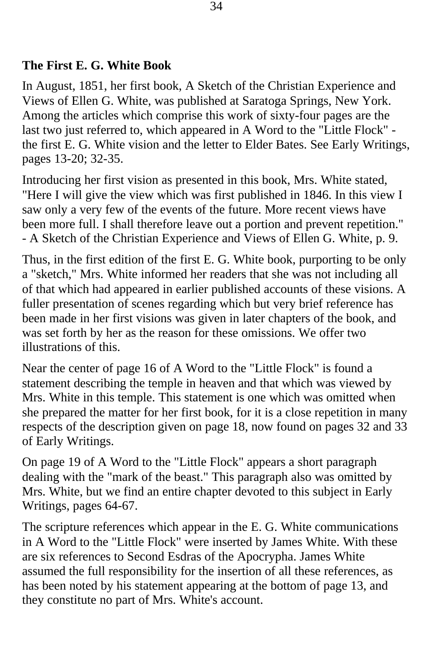#### **The First E. G. White Book**

In August, 1851, her first book, A Sketch of the Christian Experience and Views of Ellen G. White, was published at Saratoga Springs, New York. Among the articles which comprise this work of sixty-four pages are the last two just referred to, which appeared in A Word to the "Little Flock" the first E. G. White vision and the letter to Elder Bates. See Early Writings, pages 13-20; 32-35.

Introducing her first vision as presented in this book, Mrs. White stated, "Here I will give the view which was first published in 1846. In this view I saw only a very few of the events of the future. More recent views have been more full. I shall therefore leave out a portion and prevent repetition." - A Sketch of the Christian Experience and Views of Ellen G. White, p. 9.

Thus, in the first edition of the first E. G. White book, purporting to be only a "sketch," Mrs. White informed her readers that she was not including all of that which had appeared in earlier published accounts of these visions. A fuller presentation of scenes regarding which but very brief reference has been made in her first visions was given in later chapters of the book, and was set forth by her as the reason for these omissions. We offer two illustrations of this.

Near the center of page 16 of A Word to the "Little Flock" is found a statement describing the temple in heaven and that which was viewed by Mrs. White in this temple. This statement is one which was omitted when she prepared the matter for her first book, for it is a close repetition in many respects of the description given on page 18, now found on pages 32 and 33 of Early Writings.

On page 19 of A Word to the "Little Flock" appears a short paragraph dealing with the "mark of the beast." This paragraph also was omitted by Mrs. White, but we find an entire chapter devoted to this subject in Early Writings, pages 64-67.

The scripture references which appear in the E. G. White communications in A Word to the "Little Flock" were inserted by James White. With these are six references to Second Esdras of the Apocrypha. James White assumed the full responsibility for the insertion of all these references, as has been noted by his statement appearing at the bottom of page 13, and they constitute no part of Mrs. White's account.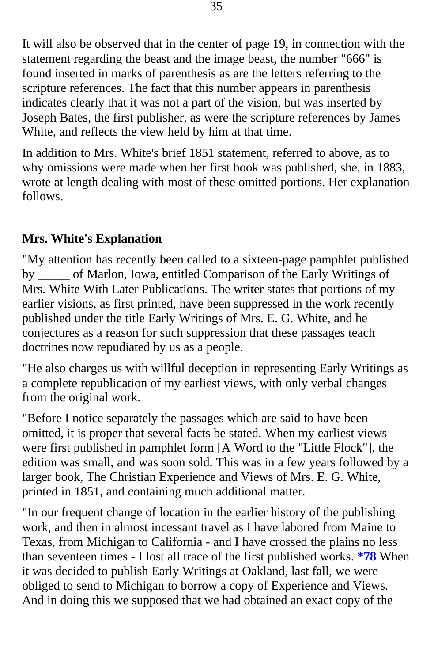It will also be observed that in the center of page 19, in connection with the statement regarding the beast and the image beast, the number "666" is found inserted in marks of parenthesis as are the letters referring to the scripture references. The fact that this number appears in parenthesis indicates clearly that it was not a part of the vision, but was inserted by Joseph Bates, the first publisher, as were the scripture references by James White, and reflects the view held by him at that time.

In addition to Mrs. White's brief 1851 statement, referred to above, as to why omissions were made when her first book was published, she, in 1883, wrote at length dealing with most of these omitted portions. Her explanation follows.

## **Mrs. White's Explanation**

"My attention has recently been called to a sixteen-page pamphlet published by \_\_\_\_\_ of Marlon, Iowa, entitled Comparison of the Early Writings of Mrs. White With Later Publications. The writer states that portions of my earlier visions, as first printed, have been suppressed in the work recently published under the title Early Writings of Mrs. E. G. White, and he conjectures as a reason for such suppression that these passages teach doctrines now repudiated by us as a people.

"He also charges us with willful deception in representing Early Writings as a complete republication of my earliest views, with only verbal changes from the original work.

"Before I notice separately the passages which are said to have been omitted, it is proper that several facts be stated. When my earliest views were first published in pamphlet form [A Word to the "Little Flock"], the edition was small, and was soon sold. This was in a few years followed by a larger book, The Christian Experience and Views of Mrs. E. G. White, printed in 1851, and containing much additional matter.

"In our frequent change of location in the earlier history of the publishing work, and then in almost incessant travel as I have labored from Maine to Texas, from Michigan to California - and I have crossed the plains no less than seventeen times - I lost all trace of the first published works. **[\\*78](#page-43-0)** When it was decided to publish Early Writings at Oakland, last fall, we were obliged to send to Michigan to borrow a copy of Experience and Views. And in doing this we supposed that we had obtained an exact copy of the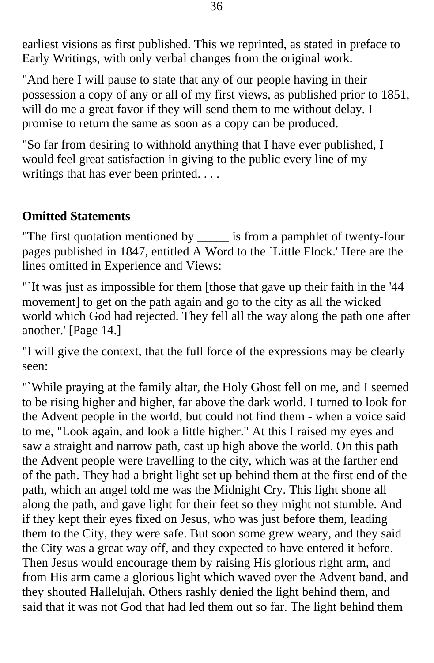earliest visions as first published. This we reprinted, as stated in preface to Early Writings, with only verbal changes from the original work.

"And here I will pause to state that any of our people having in their possession a copy of any or all of my first views, as published prior to 1851, will do me a great favor if they will send them to me without delay. I promise to return the same as soon as a copy can be produced.

"So far from desiring to withhold anything that I have ever published, I would feel great satisfaction in giving to the public every line of my writings that has ever been printed. . . .

#### **Omitted Statements**

"The first quotation mentioned by \_\_\_\_\_ is from a pamphlet of twenty-four pages published in 1847, entitled A Word to the `Little Flock.' Here are the lines omitted in Experience and Views:

"`It was just as impossible for them [those that gave up their faith in the '44 movement] to get on the path again and go to the city as all the wicked world which God had rejected. They fell all the way along the path one after another.' [Page 14.]

"I will give the context, that the full force of the expressions may be clearly seen:

"`While praying at the family altar, the Holy Ghost fell on me, and I seemed to be rising higher and higher, far above the dark world. I turned to look for the Advent people in the world, but could not find them - when a voice said to me, "Look again, and look a little higher." At this I raised my eyes and saw a straight and narrow path, cast up high above the world. On this path the Advent people were travelling to the city, which was at the farther end of the path. They had a bright light set up behind them at the first end of the path, which an angel told me was the Midnight Cry. This light shone all along the path, and gave light for their feet so they might not stumble. And if they kept their eyes fixed on Jesus, who was just before them, leading them to the City, they were safe. But soon some grew weary, and they said the City was a great way off, and they expected to have entered it before. Then Jesus would encourage them by raising His glorious right arm, and from His arm came a glorious light which waved over the Advent band, and they shouted Hallelujah. Others rashly denied the light behind them, and said that it was not God that had led them out so far. The light behind them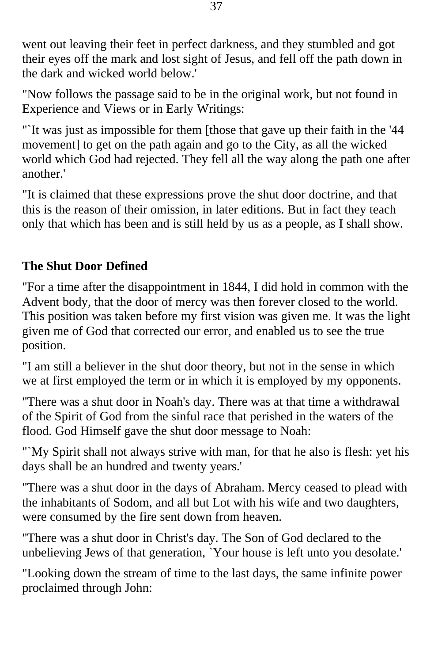went out leaving their feet in perfect darkness, and they stumbled and got their eyes off the mark and lost sight of Jesus, and fell off the path down in the dark and wicked world below.'

"Now follows the passage said to be in the original work, but not found in Experience and Views or in Early Writings:

"`It was just as impossible for them [those that gave up their faith in the '44 movement] to get on the path again and go to the City, as all the wicked world which God had rejected. They fell all the way along the path one after another.'

"It is claimed that these expressions prove the shut door doctrine, and that this is the reason of their omission, in later editions. But in fact they teach only that which has been and is still held by us as a people, as I shall show.

## **The Shut Door Defined**

"For a time after the disappointment in 1844, I did hold in common with the Advent body, that the door of mercy was then forever closed to the world. This position was taken before my first vision was given me. It was the light given me of God that corrected our error, and enabled us to see the true position.

"I am still a believer in the shut door theory, but not in the sense in which we at first employed the term or in which it is employed by my opponents.

"There was a shut door in Noah's day. There was at that time a withdrawal of the Spirit of God from the sinful race that perished in the waters of the flood. God Himself gave the shut door message to Noah:

"`My Spirit shall not always strive with man, for that he also is flesh: yet his days shall be an hundred and twenty years.'

"There was a shut door in the days of Abraham. Mercy ceased to plead with the inhabitants of Sodom, and all but Lot with his wife and two daughters, were consumed by the fire sent down from heaven.

"There was a shut door in Christ's day. The Son of God declared to the unbelieving Jews of that generation, `Your house is left unto you desolate.'

"Looking down the stream of time to the last days, the same infinite power proclaimed through John: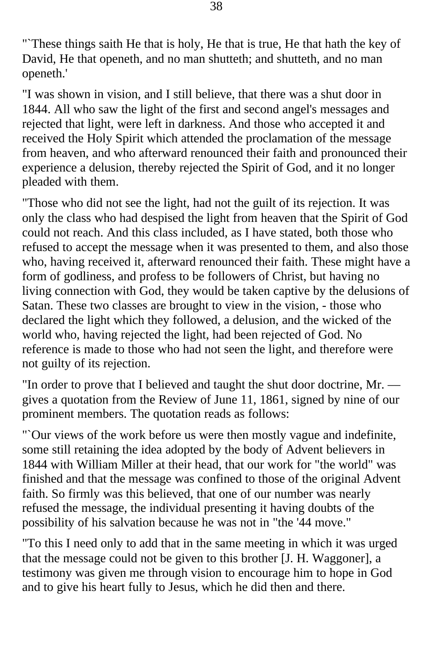"`These things saith He that is holy, He that is true, He that hath the key of David, He that openeth, and no man shutteth; and shutteth, and no man openeth.'

"I was shown in vision, and I still believe, that there was a shut door in 1844. All who saw the light of the first and second angel's messages and rejected that light, were left in darkness. And those who accepted it and received the Holy Spirit which attended the proclamation of the message from heaven, and who afterward renounced their faith and pronounced their experience a delusion, thereby rejected the Spirit of God, and it no longer pleaded with them.

"Those who did not see the light, had not the guilt of its rejection. It was only the class who had despised the light from heaven that the Spirit of God could not reach. And this class included, as I have stated, both those who refused to accept the message when it was presented to them, and also those who, having received it, afterward renounced their faith. These might have a form of godliness, and profess to be followers of Christ, but having no living connection with God, they would be taken captive by the delusions of Satan. These two classes are brought to view in the vision, - those who declared the light which they followed, a delusion, and the wicked of the world who, having rejected the light, had been rejected of God. No reference is made to those who had not seen the light, and therefore were not guilty of its rejection.

"In order to prove that I believed and taught the shut door doctrine, Mr. –– gives a quotation from the Review of June 11, 1861, signed by nine of our prominent members. The quotation reads as follows:

"`Our views of the work before us were then mostly vague and indefinite, some still retaining the idea adopted by the body of Advent believers in 1844 with William Miller at their head, that our work for "the world" was finished and that the message was confined to those of the original Advent faith. So firmly was this believed, that one of our number was nearly refused the message, the individual presenting it having doubts of the possibility of his salvation because he was not in "the '44 move."

"To this I need only to add that in the same meeting in which it was urged that the message could not be given to this brother [J. H. Waggoner], a testimony was given me through vision to encourage him to hope in God and to give his heart fully to Jesus, which he did then and there.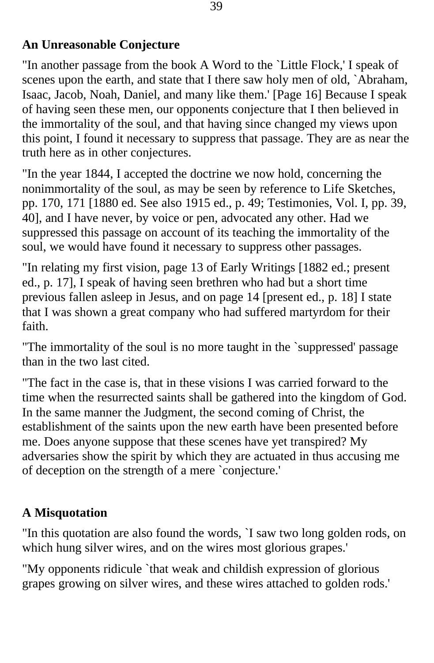#### **An Unreasonable Conjecture**

"In another passage from the book A Word to the `Little Flock,' I speak of scenes upon the earth, and state that I there saw holy men of old, `Abraham, Isaac, Jacob, Noah, Daniel, and many like them.' [Page 16] Because I speak of having seen these men, our opponents conjecture that I then believed in the immortality of the soul, and that having since changed my views upon this point, I found it necessary to suppress that passage. They are as near the truth here as in other conjectures.

"In the year 1844, I accepted the doctrine we now hold, concerning the nonimmortality of the soul, as may be seen by reference to Life Sketches, pp. 170, 171 [1880 ed. See also 1915 ed., p. 49; Testimonies, Vol. I, pp. 39, 40], and I have never, by voice or pen, advocated any other. Had we suppressed this passage on account of its teaching the immortality of the soul, we would have found it necessary to suppress other passages.

"In relating my first vision, page 13 of Early Writings [1882 ed.; present ed., p. 17], I speak of having seen brethren who had but a short time previous fallen asleep in Jesus, and on page 14 [present ed., p. 18] I state that I was shown a great company who had suffered martyrdom for their faith.

"The immortality of the soul is no more taught in the `suppressed' passage than in the two last cited.

"The fact in the case is, that in these visions I was carried forward to the time when the resurrected saints shall be gathered into the kingdom of God. In the same manner the Judgment, the second coming of Christ, the establishment of the saints upon the new earth have been presented before me. Does anyone suppose that these scenes have yet transpired? My adversaries show the spirit by which they are actuated in thus accusing me of deception on the strength of a mere `conjecture.'

## **A Misquotation**

"In this quotation are also found the words, `I saw two long golden rods, on which hung silver wires, and on the wires most glorious grapes.'

"My opponents ridicule `that weak and childish expression of glorious grapes growing on silver wires, and these wires attached to golden rods.'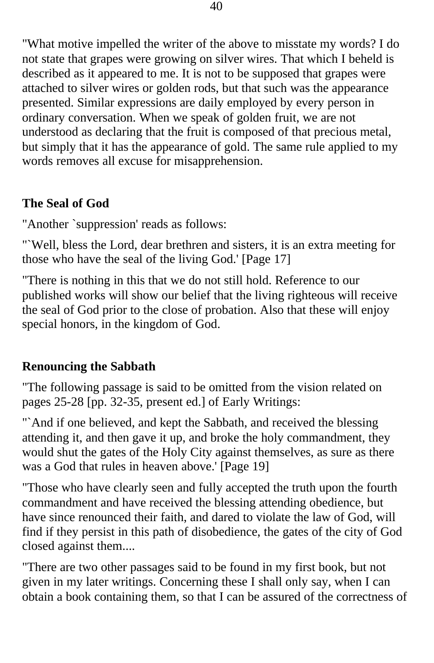"What motive impelled the writer of the above to misstate my words? I do not state that grapes were growing on silver wires. That which I beheld is described as it appeared to me. It is not to be supposed that grapes were attached to silver wires or golden rods, but that such was the appearance presented. Similar expressions are daily employed by every person in ordinary conversation. When we speak of golden fruit, we are not understood as declaring that the fruit is composed of that precious metal, but simply that it has the appearance of gold. The same rule applied to my words removes all excuse for misapprehension.

## **The Seal of God**

"Another `suppression' reads as follows:

"`Well, bless the Lord, dear brethren and sisters, it is an extra meeting for those who have the seal of the living God.' [Page 17]

"There is nothing in this that we do not still hold. Reference to our published works will show our belief that the living righteous will receive the seal of God prior to the close of probation. Also that these will enjoy special honors, in the kingdom of God.

#### **Renouncing the Sabbath**

"The following passage is said to be omitted from the vision related on pages 25-28 [pp. 32-35, present ed.] of Early Writings:

"`And if one believed, and kept the Sabbath, and received the blessing attending it, and then gave it up, and broke the holy commandment, they would shut the gates of the Holy City against themselves, as sure as there was a God that rules in heaven above.' [Page 19]

"Those who have clearly seen and fully accepted the truth upon the fourth commandment and have received the blessing attending obedience, but have since renounced their faith, and dared to violate the law of God, will find if they persist in this path of disobedience, the gates of the city of God closed against them....

"There are two other passages said to be found in my first book, but not given in my later writings. Concerning these I shall only say, when I can obtain a book containing them, so that I can be assured of the correctness of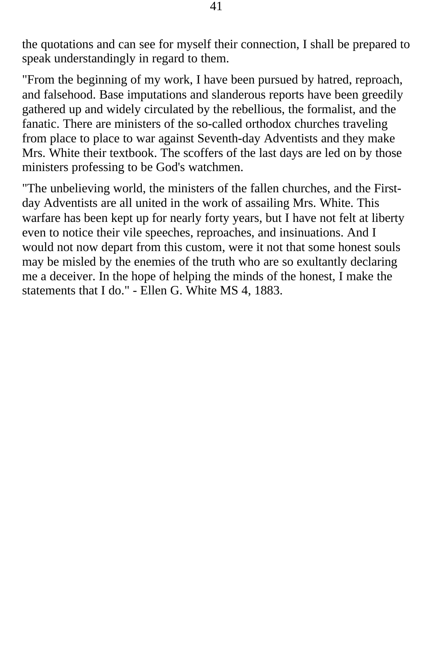the quotations and can see for myself their connection, I shall be prepared to speak understandingly in regard to them.

"From the beginning of my work, I have been pursued by hatred, reproach, and falsehood. Base imputations and slanderous reports have been greedily gathered up and widely circulated by the rebellious, the formalist, and the fanatic. There are ministers of the so-called orthodox churches traveling from place to place to war against Seventh-day Adventists and they make Mrs. White their textbook. The scoffers of the last days are led on by those ministers professing to be God's watchmen.

"The unbelieving world, the ministers of the fallen churches, and the Firstday Adventists are all united in the work of assailing Mrs. White. This warfare has been kept up for nearly forty years, but I have not felt at liberty even to notice their vile speeches, reproaches, and insinuations. And I would not now depart from this custom, were it not that some honest souls may be misled by the enemies of the truth who are so exultantly declaring me a deceiver. In the hope of helping the minds of the honest, I make the statements that I do." - Ellen G. White MS 4, 1883.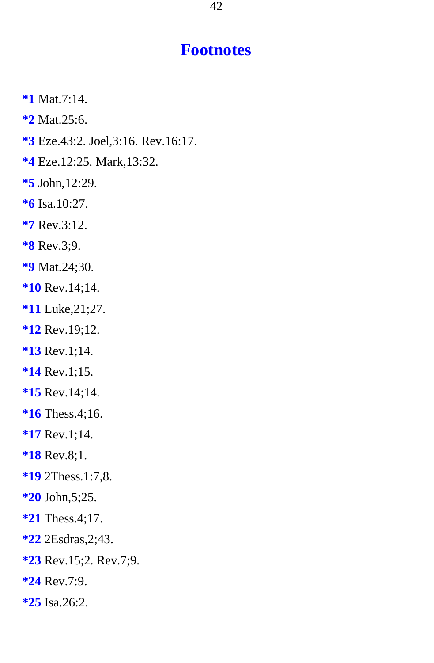## **Footnotes**

- <span id="page-41-0"></span>**\*1** Mat.7:14.
- **\*2** Mat.25:6.
- **\*3** Eze.43:2. Joel,3:16. Rev.16:17.
- **\*4** Eze.12:25. Mark,13:32.
- **\*5** John,12:29.
- **\*6** Isa.10:27.
- **\*7** Rev.3:12.
- **\*8** Rev.3;9.
- **\*9** Mat.24;30.
- **\*10** Rev.14;14.
- **\*11** Luke,21;27.
- **\*12** Rev.19;12.
- **\*13** Rev.1;14.
- **\*14** Rev.1;15.
- **\*15** Rev.14;14.
- **\*16** Thess.4;16.
- **\*17** Rev.1;14.
- **\*18** Rev.8;1.
- **\*19** 2Thess.1:7,8.
- **\*20** John,5;25.
- **\*21** Thess.4;17.
- **\*22** 2Esdras,2;43.
- **\*23** Rev.15;2. Rev.7;9.
- **\*24** Rev.7:9.
- **\*25** Isa.26:2.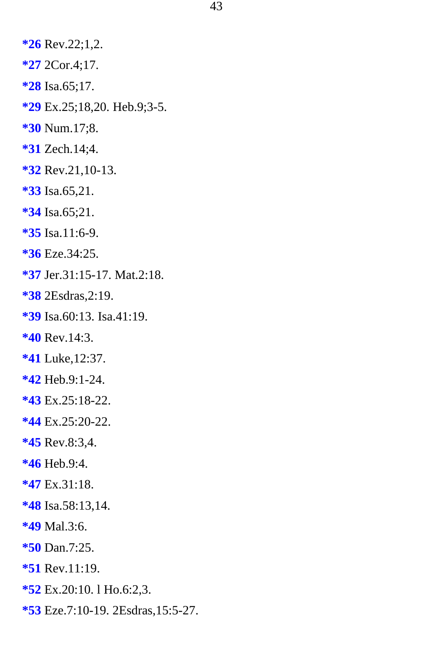<span id="page-42-0"></span>**\*26** Rev.22;1,2. **\*27** 2Cor.4;17. **\*28** Isa.65;17. **\*29** Ex.25;18,20. Heb.9;3-5. **\*30** Num.17;8. **\*31** Zech.14;4. **\*32** Rev.21,10-13. **\*33** Isa.65,21. **\*34** Isa.65;21. **\*35** Isa.11:6-9. **\*36** Eze.34:25. **\*37** Jer.31:15-17. Mat.2:18. **\*38** 2Esdras,2:19. **\*39** Isa.60:13. Isa.41:19. **\*40** Rev.14:3. **\*41** Luke,12:37. **\*42** Heb.9:1-24. **\*43** Ex.25:18-22. **\*44** Ex.25:20-22. **\*45** Rev.8:3,4. **\*46** Heb.9:4. **\*47** Ex.31:18. **\*48** Isa.58:13,14. **\*49** Mal.3:6. **\*50** Dan.7:25. **\*51** Rev.11:19. **\*52** Ex.20:10. l Ho.6:2,3.

**\*53** Eze.7:10-19. 2Esdras,15:5-27.